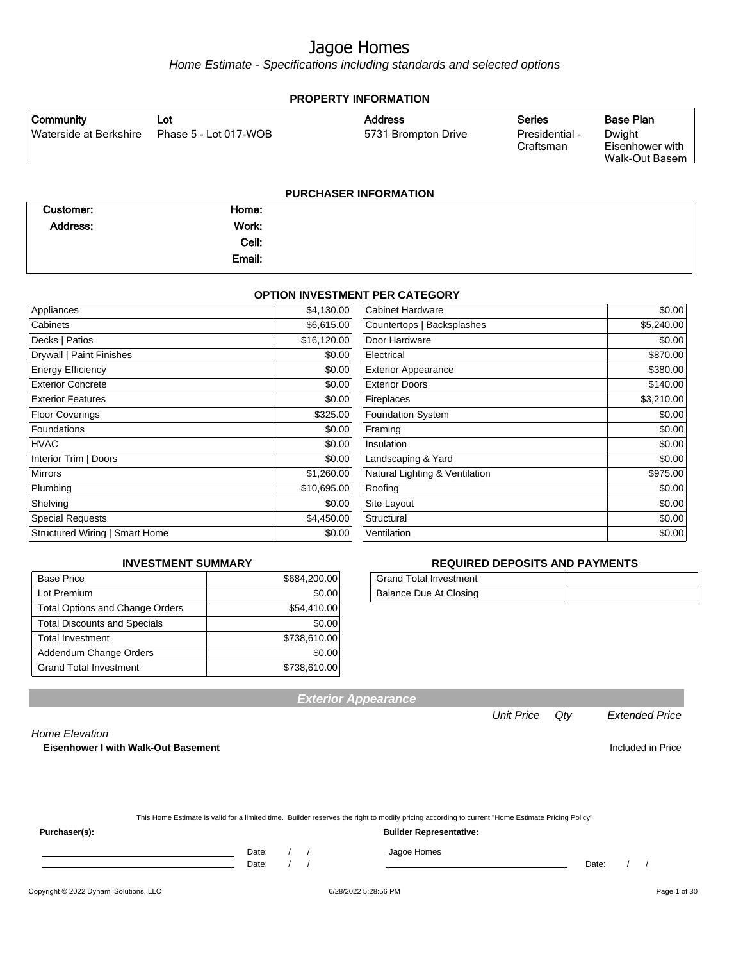Home Estimate - Specifications including standards and selected options

| <b>PROPERTY INFORMATION</b>         |                              |                                       |                                              |                                                          |  |
|-------------------------------------|------------------------------|---------------------------------------|----------------------------------------------|----------------------------------------------------------|--|
| Community<br>Waterside at Berkshire | Lot<br>Phase 5 - Lot 017-WOB | <b>Address</b><br>5731 Brompton Drive | <b>Series</b><br>Presidential -<br>Craftsman | Base Plan<br>Dwight<br>Eisenhower with<br>Walk-Out Basem |  |
|                                     |                              | <b>PURCHASER INFORMATION</b>          |                                              |                                                          |  |
| Customer:                           | Home:                        |                                       |                                              |                                                          |  |
| Address:                            | Work:                        |                                       |                                              |                                                          |  |
|                                     | Cell:                        |                                       |                                              |                                                          |  |

#### **OPTION INVESTMENT PER CATEGORY**

Email:

| Appliances                     | \$4,130.00  | <b>Cabinet Hardware</b>        | \$0.00     |
|--------------------------------|-------------|--------------------------------|------------|
| Cabinets                       | \$6,615.00  | Countertops   Backsplashes     | \$5,240.00 |
| Decks   Patios                 | \$16,120.00 | Door Hardware                  | \$0.00     |
| Drywall   Paint Finishes       | \$0.00      | Electrical                     | \$870.00   |
| <b>Energy Efficiency</b>       | \$0.00      | <b>Exterior Appearance</b>     | \$380.00   |
| <b>Exterior Concrete</b>       | \$0.00      | <b>Exterior Doors</b>          | \$140.00   |
| <b>Exterior Features</b>       | \$0.00      | Fireplaces                     | \$3,210.00 |
| <b>Floor Coverings</b>         | \$325.00    | Foundation System              | \$0.00     |
| Foundations                    | \$0.00      | Framing                        | \$0.00     |
| <b>HVAC</b>                    | \$0.00      | Insulation                     | \$0.00     |
| Interior Trim   Doors          | \$0.00      | Landscaping & Yard             | \$0.00     |
| <b>Mirrors</b>                 | \$1,260.00  | Natural Lighting & Ventilation | \$975.00   |
| Plumbing                       | \$10,695.00 | Roofing                        | \$0.00     |
| Shelving                       | \$0.00      | Site Layout                    | \$0.00     |
| <b>Special Requests</b>        | \$4,450.00  | Structural                     | \$0.00     |
| Structured Wiring   Smart Home | \$0.00      | Ventilation                    | \$0.00     |

#### **INVESTMENT SUMMARY**

| <b>Base Price</b>                      | \$684,200.00 |
|----------------------------------------|--------------|
| Lot Premium                            | \$0.00       |
| <b>Total Options and Change Orders</b> | \$54,410.00  |
| <b>Total Discounts and Specials</b>    | \$0.00       |
| <b>Total Investment</b>                | \$738,610.00 |
| Addendum Change Orders                 | \$0.00       |
| <b>Grand Total Investment</b>          | \$738,610.00 |

#### **REQUIRED DEPOSITS AND PAYMENTS**

| <b>Grand Total Investment</b> |  |
|-------------------------------|--|
| Balance Due At Closing        |  |

| <b>Exterior Appearance</b> |  |
|----------------------------|--|
|----------------------------|--|

Home Elevation

**Eisenhower I with Walk-Out Basement Included in Price** Included in Price

| This Home Estimate is valid for a limited time. Builder reserves the right to modify pricing according to current "Home Estimate Pricing Policy" |
|--------------------------------------------------------------------------------------------------------------------------------------------------|
|                                                                                                                                                  |

**Purchaser(s): Builder Representative:**

Date: / / Jagoe Homes<br>Date: / / Jagoe Homes Date: / / Date: / /

Unit Price Qty Extended Price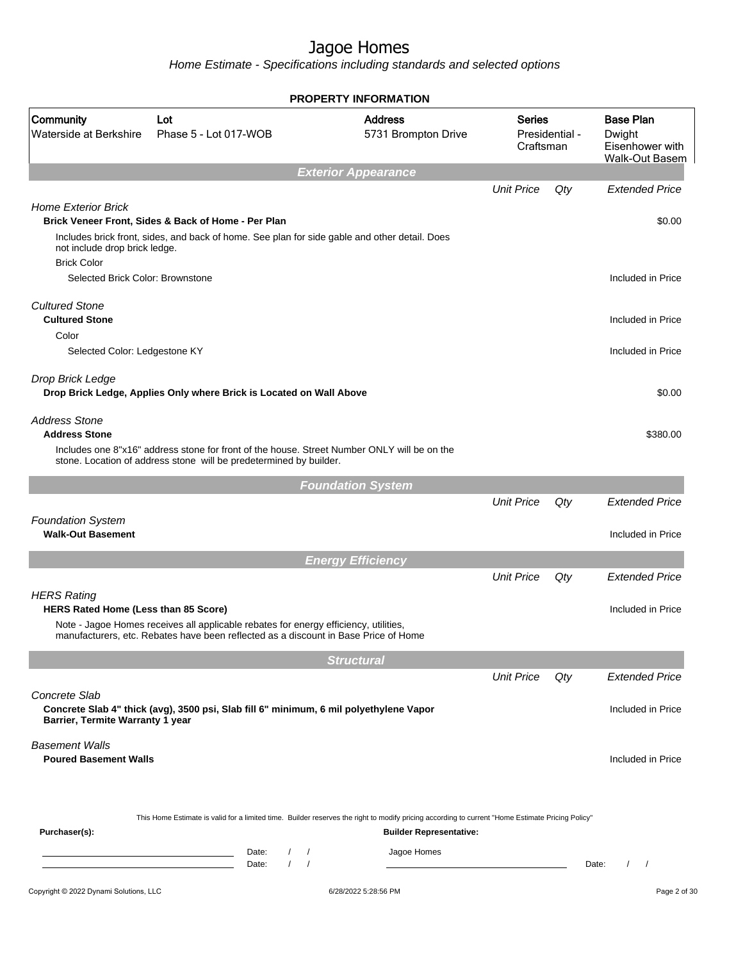Home Estimate - Specifications including standards and selected options

|                                                            |                                                                                                                                                                   | <b>PROPERTY INFORMATION</b>        |                                       |                                              |     |                                                                        |  |
|------------------------------------------------------------|-------------------------------------------------------------------------------------------------------------------------------------------------------------------|------------------------------------|---------------------------------------|----------------------------------------------|-----|------------------------------------------------------------------------|--|
| <b>Community</b><br>Waterside at Berkshire                 | Lot<br>Phase 5 - Lot 017-WOB                                                                                                                                      |                                    | <b>Address</b><br>5731 Brompton Drive | <b>Series</b><br>Presidential -<br>Craftsman |     | <b>Base Plan</b><br>Dwight<br>Eisenhower with<br><b>Walk-Out Basem</b> |  |
|                                                            |                                                                                                                                                                   | <b>Exterior Appearance</b>         |                                       |                                              |     |                                                                        |  |
| <b>Home Exterior Brick</b>                                 | Brick Veneer Front, Sides & Back of Home - Per Plan                                                                                                               |                                    |                                       | <b>Unit Price</b>                            | Qty | <b>Extended Price</b><br>\$0.00                                        |  |
| not include drop brick ledge.<br><b>Brick Color</b>        | Includes brick front, sides, and back of home. See plan for side gable and other detail. Does                                                                     |                                    |                                       |                                              |     |                                                                        |  |
| Selected Brick Color: Brownstone                           |                                                                                                                                                                   |                                    |                                       |                                              |     | Included in Price                                                      |  |
| <b>Cultured Stone</b><br><b>Cultured Stone</b>             |                                                                                                                                                                   |                                    |                                       |                                              |     | Included in Price                                                      |  |
| Color<br>Selected Color: Ledgestone KY                     |                                                                                                                                                                   |                                    |                                       |                                              |     | Included in Price                                                      |  |
| Drop Brick Ledge                                           | Drop Brick Ledge, Applies Only where Brick is Located on Wall Above                                                                                               |                                    |                                       |                                              |     | \$0.00                                                                 |  |
| <b>Address Stone</b><br><b>Address Stone</b>               | Includes one 8"x16" address stone for front of the house. Street Number ONLY will be on the<br>stone. Location of address stone will be predetermined by builder. |                                    |                                       |                                              |     | \$380.00                                                               |  |
|                                                            |                                                                                                                                                                   | <b>Foundation System</b>           |                                       |                                              |     |                                                                        |  |
|                                                            |                                                                                                                                                                   |                                    |                                       | <b>Unit Price</b>                            | Qty | <b>Extended Price</b>                                                  |  |
| <b>Foundation System</b><br><b>Walk-Out Basement</b>       |                                                                                                                                                                   |                                    |                                       |                                              |     | Included in Price                                                      |  |
|                                                            |                                                                                                                                                                   | <b>Energy Efficiency</b>           |                                       |                                              |     |                                                                        |  |
|                                                            |                                                                                                                                                                   |                                    |                                       | <b>Unit Price</b>                            | Qty | <b>Extended Price</b>                                                  |  |
| <b>HERS Rating</b><br>HERS Rated Home (Less than 85 Score) | Note - Jagoe Homes receives all applicable rebates for energy efficiency, utilities,                                                                              |                                    |                                       |                                              |     | Included in Price                                                      |  |
|                                                            | manufacturers, etc. Rebates have been reflected as a discount in Base Price of Home                                                                               |                                    |                                       |                                              |     |                                                                        |  |
|                                                            |                                                                                                                                                                   | <b>Structural</b>                  |                                       |                                              |     |                                                                        |  |
|                                                            |                                                                                                                                                                   |                                    |                                       | <b>Unit Price</b>                            | Qty | <b>Extended Price</b>                                                  |  |
| Concrete Slab<br>Barrier, Termite Warranty 1 year          | Concrete Slab 4" thick (avg), 3500 psi, Slab fill 6" minimum, 6 mil polyethylene Vapor                                                                            |                                    |                                       |                                              |     | Included in Price                                                      |  |
| <b>Basement Walls</b><br><b>Poured Basement Walls</b>      |                                                                                                                                                                   |                                    |                                       |                                              |     | Included in Price                                                      |  |
| Purchaser(s):                                              | This Home Estimate is valid for a limited time. Builder reserves the right to modify pricing according to current "Home Estimate Pricing Policy"                  |                                    | <b>Builder Representative:</b>        |                                              |     |                                                                        |  |
|                                                            | Date:<br>the control of the control of the control of<br>Date:                                                                                                    | $\prime$<br>$\sqrt{ }$<br>$\prime$ | Jagoe Homes                           |                                              |     | $\prime$<br>$\sqrt{ }$<br>Date:                                        |  |
| Copyright © 2022 Dynami Solutions, LLC                     |                                                                                                                                                                   | 6/28/2022 5:28:56 PM               |                                       |                                              |     | Page 2 of 30                                                           |  |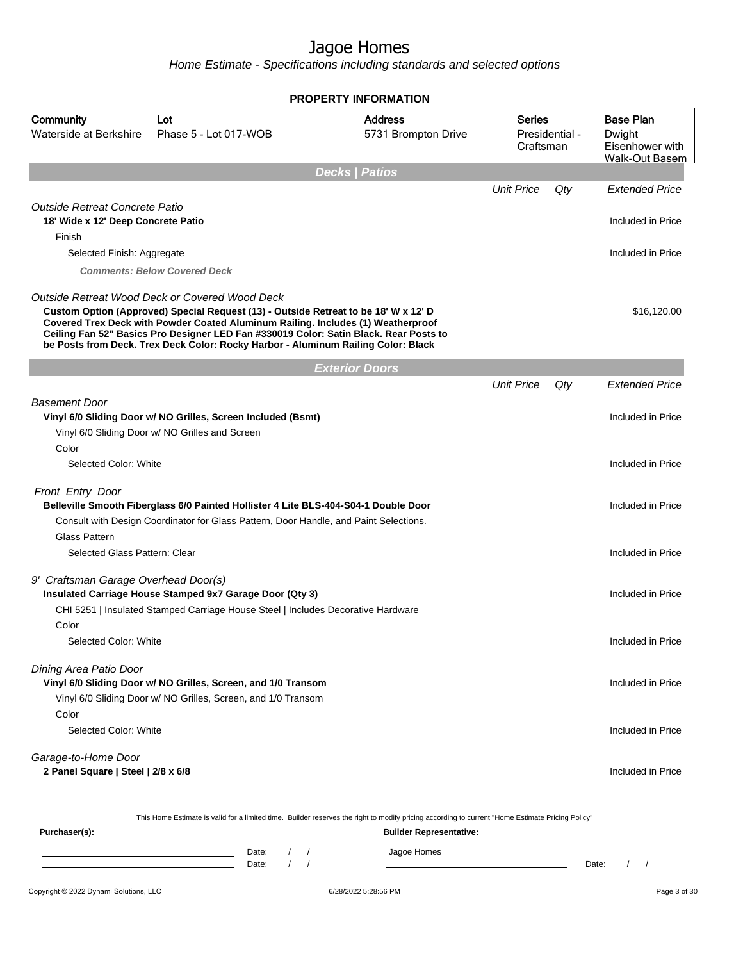Home Estimate - Specifications including standards and selected options

|                                                                             |                                                                                                                                                                                                                                                                                                                                                                                                         | <b>PROPERTY INFORMATION</b>           |                                       |     |                                                                        |  |
|-----------------------------------------------------------------------------|---------------------------------------------------------------------------------------------------------------------------------------------------------------------------------------------------------------------------------------------------------------------------------------------------------------------------------------------------------------------------------------------------------|---------------------------------------|---------------------------------------|-----|------------------------------------------------------------------------|--|
| Community<br>Waterside at Berkshire                                         | Lot<br>Phase 5 - Lot 017-WOB                                                                                                                                                                                                                                                                                                                                                                            | <b>Address</b><br>5731 Brompton Drive | Series<br>Presidential -<br>Craftsman |     | <b>Base Plan</b><br>Dwight<br>Eisenhower with<br><b>Walk-Out Basem</b> |  |
|                                                                             |                                                                                                                                                                                                                                                                                                                                                                                                         | <b>Decks   Patios</b>                 |                                       |     |                                                                        |  |
|                                                                             |                                                                                                                                                                                                                                                                                                                                                                                                         |                                       | <b>Unit Price</b>                     | Qty | <b>Extended Price</b>                                                  |  |
| <b>Outside Retreat Concrete Patio</b><br>18' Wide x 12' Deep Concrete Patio |                                                                                                                                                                                                                                                                                                                                                                                                         |                                       |                                       |     | Included in Price                                                      |  |
| Finish                                                                      |                                                                                                                                                                                                                                                                                                                                                                                                         |                                       |                                       |     |                                                                        |  |
| Selected Finish: Aggregate                                                  |                                                                                                                                                                                                                                                                                                                                                                                                         |                                       |                                       |     | Included in Price                                                      |  |
|                                                                             | <b>Comments: Below Covered Deck</b>                                                                                                                                                                                                                                                                                                                                                                     |                                       |                                       |     |                                                                        |  |
|                                                                             | Outside Retreat Wood Deck or Covered Wood Deck<br>Custom Option (Approved) Special Request (13) - Outside Retreat to be 18' W x 12' D<br>Covered Trex Deck with Powder Coated Aluminum Railing. Includes (1) Weatherproof<br>Ceiling Fan 52" Basics Pro Designer LED Fan #330019 Color: Satin Black. Rear Posts to<br>be Posts from Deck. Trex Deck Color: Rocky Harbor - Aluminum Railing Color: Black |                                       |                                       |     | \$16,120.00                                                            |  |
|                                                                             |                                                                                                                                                                                                                                                                                                                                                                                                         | <b>Exterior Doors</b>                 |                                       |     |                                                                        |  |
|                                                                             |                                                                                                                                                                                                                                                                                                                                                                                                         |                                       | <b>Unit Price</b>                     | Qty | <b>Extended Price</b>                                                  |  |
| <b>Basement Door</b>                                                        | Vinyl 6/0 Sliding Door w/ NO Grilles, Screen Included (Bsmt)<br>Vinyl 6/0 Sliding Door w/ NO Grilles and Screen                                                                                                                                                                                                                                                                                         |                                       |                                       |     | Included in Price                                                      |  |
| Color<br>Selected Color: White                                              |                                                                                                                                                                                                                                                                                                                                                                                                         |                                       |                                       |     | Included in Price                                                      |  |
| Front Entry Door                                                            | Belleville Smooth Fiberglass 6/0 Painted Hollister 4 Lite BLS-404-S04-1 Double Door                                                                                                                                                                                                                                                                                                                     |                                       |                                       |     | Included in Price                                                      |  |
|                                                                             | Consult with Design Coordinator for Glass Pattern, Door Handle, and Paint Selections.                                                                                                                                                                                                                                                                                                                   |                                       |                                       |     |                                                                        |  |
| <b>Glass Pattern</b>                                                        |                                                                                                                                                                                                                                                                                                                                                                                                         |                                       |                                       |     |                                                                        |  |
| Selected Glass Pattern: Clear                                               |                                                                                                                                                                                                                                                                                                                                                                                                         |                                       |                                       |     | Included in Price                                                      |  |
| 9' Craftsman Garage Overhead Door(s)                                        |                                                                                                                                                                                                                                                                                                                                                                                                         |                                       |                                       |     |                                                                        |  |
|                                                                             | Insulated Carriage House Stamped 9x7 Garage Door (Qty 3)                                                                                                                                                                                                                                                                                                                                                |                                       |                                       |     | Included in Price                                                      |  |
|                                                                             | CHI 5251   Insulated Stamped Carriage House Steel   Includes Decorative Hardware                                                                                                                                                                                                                                                                                                                        |                                       |                                       |     |                                                                        |  |
| Color                                                                       |                                                                                                                                                                                                                                                                                                                                                                                                         |                                       |                                       |     |                                                                        |  |
| Selected Color: White                                                       |                                                                                                                                                                                                                                                                                                                                                                                                         |                                       |                                       |     | Included in Price                                                      |  |
| Dining Area Patio Door                                                      |                                                                                                                                                                                                                                                                                                                                                                                                         |                                       |                                       |     | Included in Price                                                      |  |
|                                                                             | Vinyl 6/0 Sliding Door w/ NO Grilles, Screen, and 1/0 Transom<br>Vinyl 6/0 Sliding Door w/ NO Grilles, Screen, and 1/0 Transom                                                                                                                                                                                                                                                                          |                                       |                                       |     |                                                                        |  |
| Color                                                                       |                                                                                                                                                                                                                                                                                                                                                                                                         |                                       |                                       |     |                                                                        |  |
| Selected Color: White                                                       |                                                                                                                                                                                                                                                                                                                                                                                                         |                                       |                                       |     | Included in Price                                                      |  |
| Garage-to-Home Door                                                         |                                                                                                                                                                                                                                                                                                                                                                                                         |                                       |                                       |     |                                                                        |  |
| 2 Panel Square   Steel   2/8 x 6/8                                          |                                                                                                                                                                                                                                                                                                                                                                                                         |                                       |                                       |     | Included in Price                                                      |  |
|                                                                             | This Home Estimate is valid for a limited time. Builder reserves the right to modify pricing according to current "Home Estimate Pricing Policy"                                                                                                                                                                                                                                                        |                                       |                                       |     |                                                                        |  |
| Purchaser(s):                                                               |                                                                                                                                                                                                                                                                                                                                                                                                         | <b>Builder Representative:</b>        |                                       |     |                                                                        |  |

Date: / / Jagoe Homes<br>Date: / / Jagoe Homes Date: / / Date: / /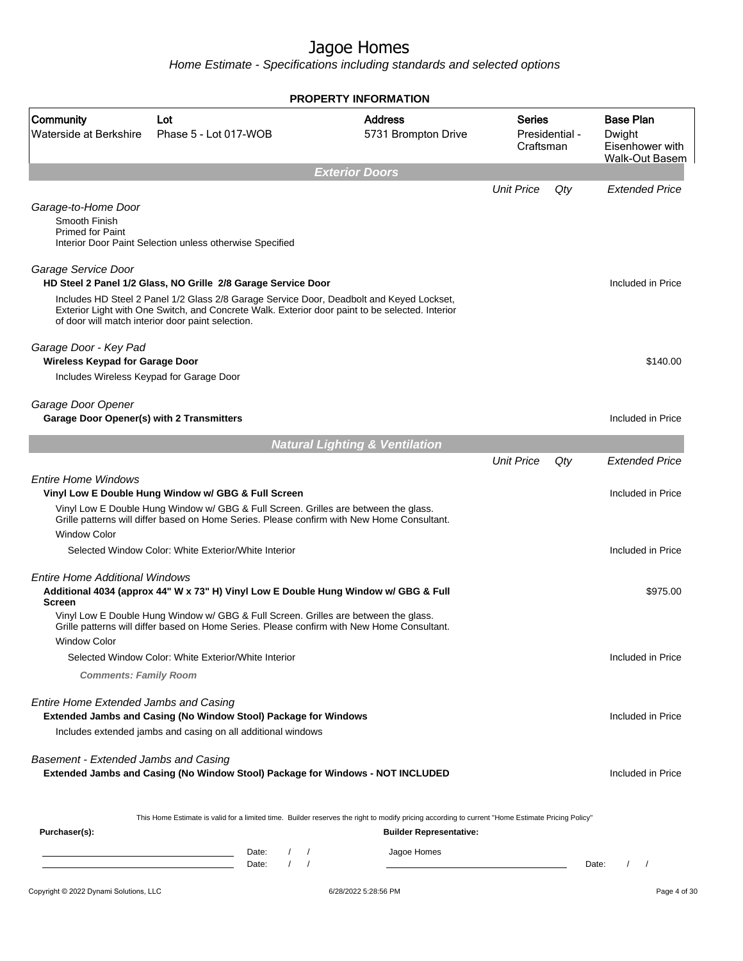Home Estimate - Specifications including standards and selected options

**Exterior Doors** Unit Price Qty Extended Price Garage-to-Home Door Smooth Finish Primed for Paint Interior Door Paint Selection unless otherwise Specified Garage Service Door **HD Steel 2 Panel 1/2 Glass, NO Grille 2/8 Garage Service Door Included in Price** Included in Price Includes HD Steel 2 Panel 1/2 Glass 2/8 Garage Service Door, Deadbolt and Keyed Lockset, Exterior Light with One Switch, and Concrete Walk. Exterior door paint to be selected. Interior of door will match interior door paint selection. Garage Door - Key Pad **Wireless Keypad for Garage Door** \$140.00 Includes Wireless Keypad for Garage Door Garage Door Opener **Garage Door Opener(s) with 2 Transmitters Included in Price** Included in Price **Natural Lighting & Ventilation** Unit Price Qty Extended Price Entire Home Windows **Vinyl Low E Double Hung Window w/ GBG & Full Screen** Included in Price Included in Price Vinyl Low E Double Hung Window w/ GBG & Full Screen. Grilles are between the glass. Grille patterns will differ based on Home Series. Please confirm with New Home Consultant. Window Color Selected Window Color: White Exterior/White Interior **Included in Price** Included in Price Entire Home Additional Windows **Additional 4034 (approx 44" W x 73" H) Vinyl Low E Double Hung Window w/ GBG & Full Screen** \$975.00 Vinyl Low E Double Hung Window w/ GBG & Full Screen. Grilles are between the glass. Grille patterns will differ based on Home Series. Please confirm with New Home Consultant. Window Color Selected Window Color: White Exterior/White Interior Included in Price Included in Price **Comments: Family Room** Entire Home Extended Jambs and Casing **Extended Jambs and Casing (No Window Stool) Package for Windows and Casing included in Price** Included in Price Includes extended jambs and casing on all additional windows Basement - Extended Jambs and Casing **Extended Jambs and Casing (No Window Stool) Package for Windows - NOT INCLUDED Included in Price** Included in Price This Home Estimate is valid for a limited time. Builder reserves the right to modify pricing according to current "Home Estimate Pricing Policy" **Purchaser(s): Builder Representative:** Date: / / Jagoe Homes Date: / / Date: / / **PROPERTY INFORMATION** Presidential - Craftsman Series 5731 Brompton Drive Address Waterside at Berkshire Phase 5 - Lot 017-WOB Community Lot Dwight Eisenhower with Walk-Out Basem Base Plan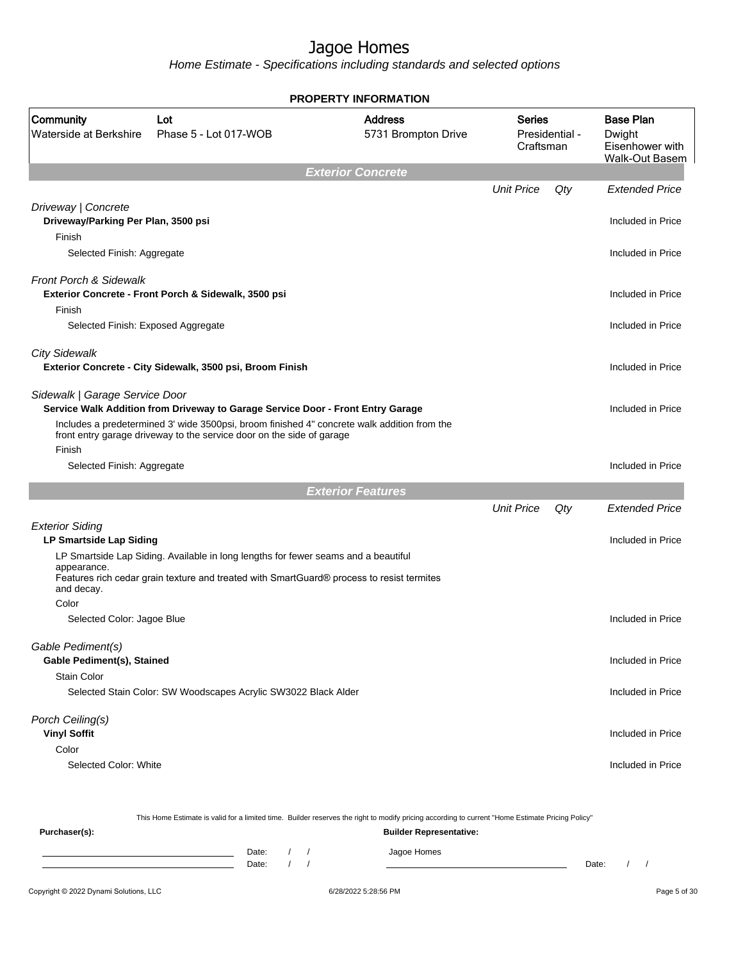Home Estimate - Specifications including standards and selected options

|                                                                                                    |                                                                                                                                                                                                                                                         | LII IN YKKAISI                        |                                              |     |                                                                        |
|----------------------------------------------------------------------------------------------------|---------------------------------------------------------------------------------------------------------------------------------------------------------------------------------------------------------------------------------------------------------|---------------------------------------|----------------------------------------------|-----|------------------------------------------------------------------------|
| Community<br>Waterside at Berkshire                                                                | Lot<br>Phase 5 - Lot 017-WOB                                                                                                                                                                                                                            | <b>Address</b><br>5731 Brompton Drive | <b>Series</b><br>Presidential -<br>Craftsman |     | <b>Base Plan</b><br>Dwight<br>Eisenhower with<br><b>Walk-Out Basem</b> |
|                                                                                                    |                                                                                                                                                                                                                                                         | <b>Exterior Concrete</b>              |                                              |     |                                                                        |
|                                                                                                    |                                                                                                                                                                                                                                                         |                                       | <b>Unit Price</b>                            | Qty | <b>Extended Price</b>                                                  |
| Driveway   Concrete<br>Driveway/Parking Per Plan, 3500 psi<br>Finish<br>Selected Finish: Aggregate |                                                                                                                                                                                                                                                         |                                       |                                              |     | Included in Price<br>Included in Price                                 |
|                                                                                                    |                                                                                                                                                                                                                                                         |                                       |                                              |     |                                                                        |
| Front Porch & Sidewalk<br>Finish                                                                   | Exterior Concrete - Front Porch & Sidewalk, 3500 psi                                                                                                                                                                                                    |                                       |                                              |     | Included in Price                                                      |
| Selected Finish: Exposed Aggregate                                                                 |                                                                                                                                                                                                                                                         |                                       |                                              |     | Included in Price                                                      |
|                                                                                                    |                                                                                                                                                                                                                                                         |                                       |                                              |     |                                                                        |
| <b>City Sidewalk</b>                                                                               | Exterior Concrete - City Sidewalk, 3500 psi, Broom Finish                                                                                                                                                                                               |                                       |                                              |     | Included in Price                                                      |
| Sidewalk   Garage Service Door                                                                     | Service Walk Addition from Driveway to Garage Service Door - Front Entry Garage<br>Includes a predetermined 3' wide 3500psi, broom finished 4" concrete walk addition from the<br>front entry garage driveway to the service door on the side of garage |                                       |                                              |     | Included in Price                                                      |
| Finish                                                                                             |                                                                                                                                                                                                                                                         |                                       |                                              |     |                                                                        |
| Selected Finish: Aggregate                                                                         |                                                                                                                                                                                                                                                         |                                       |                                              |     | Included in Price                                                      |
|                                                                                                    |                                                                                                                                                                                                                                                         | <b>Exterior Features</b>              |                                              |     |                                                                        |
|                                                                                                    |                                                                                                                                                                                                                                                         |                                       | <b>Unit Price</b>                            | Qty | <b>Extended Price</b>                                                  |
| <b>Exterior Siding</b><br><b>LP Smartside Lap Siding</b>                                           |                                                                                                                                                                                                                                                         |                                       |                                              |     | Included in Price                                                      |
| appearance.                                                                                        | LP Smartside Lap Siding. Available in long lengths for fewer seams and a beautiful                                                                                                                                                                      |                                       |                                              |     |                                                                        |
| and decay.                                                                                         | Features rich cedar grain texture and treated with SmartGuard® process to resist termites                                                                                                                                                               |                                       |                                              |     |                                                                        |
| Color                                                                                              |                                                                                                                                                                                                                                                         |                                       |                                              |     |                                                                        |
| Selected Color: Jagoe Blue                                                                         |                                                                                                                                                                                                                                                         |                                       |                                              |     | Included in Price                                                      |
| Gable Pediment(s)<br>Gable Pediment(s), Stained                                                    |                                                                                                                                                                                                                                                         |                                       |                                              |     | Included in Price                                                      |
| Stain Color                                                                                        |                                                                                                                                                                                                                                                         |                                       |                                              |     |                                                                        |
|                                                                                                    | Selected Stain Color: SW Woodscapes Acrylic SW3022 Black Alder                                                                                                                                                                                          |                                       |                                              |     | Included in Price                                                      |
| Porch Ceiling(s)                                                                                   |                                                                                                                                                                                                                                                         |                                       |                                              |     |                                                                        |
| <b>Vinyl Soffit</b>                                                                                |                                                                                                                                                                                                                                                         |                                       |                                              |     | Included in Price                                                      |
| Color                                                                                              |                                                                                                                                                                                                                                                         |                                       |                                              |     |                                                                        |
| Selected Color: White                                                                              |                                                                                                                                                                                                                                                         |                                       |                                              |     | Included in Price                                                      |
|                                                                                                    |                                                                                                                                                                                                                                                         |                                       |                                              |     |                                                                        |
|                                                                                                    | This Home Estimate is valid for a limited time. Builder reserves the right to modify pricing according to current "Home Estimate Pricing Policy"                                                                                                        |                                       |                                              |     |                                                                        |

**PROPERTY INFORMATION**

Date: / / Jagoe Homes<br>
Date: / / Jagoe Homes

**Purchaser(s): Builder Representative:**

Date: / /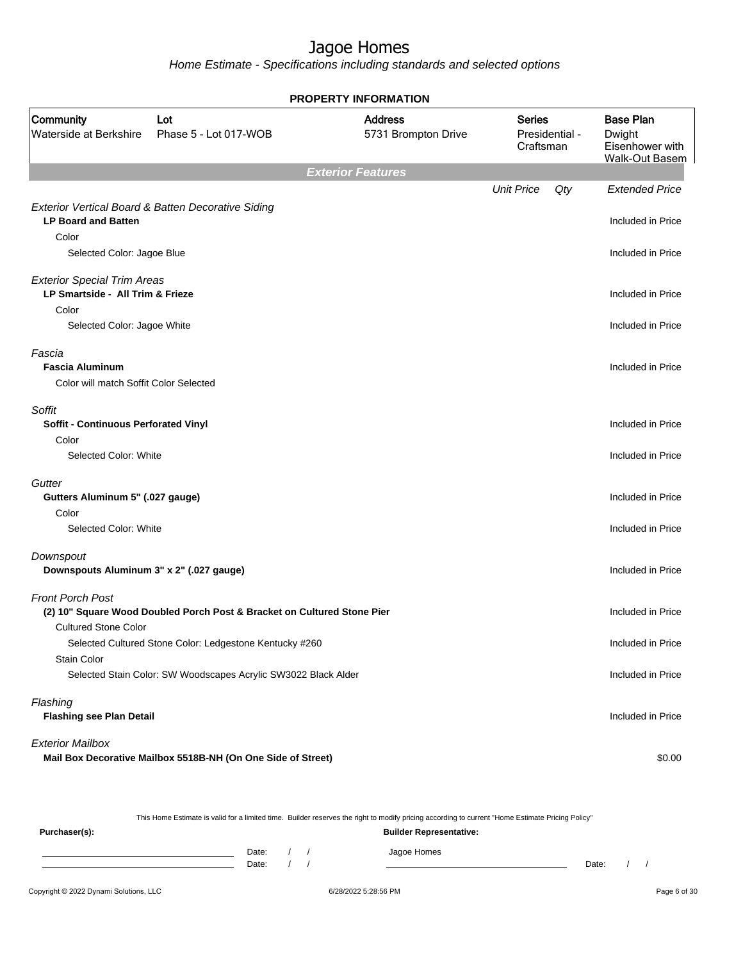Home Estimate - Specifications including standards and selected options

|                                                                        |                                                                         | <b>PROPERTY INFORMATION</b>           |                     |                |                                                                        |
|------------------------------------------------------------------------|-------------------------------------------------------------------------|---------------------------------------|---------------------|----------------|------------------------------------------------------------------------|
| <b>Community</b><br>Waterside at Berkshire                             | Lot<br>Phase 5 - Lot 017-WOB                                            | <b>Address</b><br>5731 Brompton Drive | Series<br>Craftsman | Presidential - | <b>Base Plan</b><br>Dwight<br>Eisenhower with<br><b>Walk-Out Basem</b> |
|                                                                        |                                                                         | <b>Exterior Features</b>              |                     |                |                                                                        |
|                                                                        |                                                                         |                                       | <b>Unit Price</b>   | Qty            | <b>Extended Price</b>                                                  |
| <b>LP Board and Batten</b>                                             | Exterior Vertical Board & Batten Decorative Siding                      |                                       |                     |                |                                                                        |
| Color                                                                  |                                                                         |                                       |                     |                | Included in Price                                                      |
| Selected Color: Jagoe Blue                                             |                                                                         |                                       |                     |                | Included in Price                                                      |
|                                                                        |                                                                         |                                       |                     |                |                                                                        |
| <b>Exterior Special Trim Areas</b><br>LP Smartside - All Trim & Frieze |                                                                         |                                       |                     |                | Included in Price                                                      |
| Color                                                                  |                                                                         |                                       |                     |                |                                                                        |
| Selected Color: Jagoe White                                            |                                                                         |                                       |                     |                | Included in Price                                                      |
| Fascia                                                                 |                                                                         |                                       |                     |                |                                                                        |
| <b>Fascia Aluminum</b>                                                 |                                                                         |                                       |                     |                | Included in Price                                                      |
| Color will match Soffit Color Selected                                 |                                                                         |                                       |                     |                |                                                                        |
| Soffit                                                                 |                                                                         |                                       |                     |                |                                                                        |
| Soffit - Continuous Perforated Vinyl                                   |                                                                         |                                       |                     |                | Included in Price                                                      |
| Color                                                                  |                                                                         |                                       |                     |                |                                                                        |
| Selected Color: White                                                  |                                                                         |                                       |                     |                | Included in Price                                                      |
| Gutter                                                                 |                                                                         |                                       |                     |                |                                                                        |
| Gutters Aluminum 5" (.027 gauge)                                       |                                                                         |                                       |                     |                | Included in Price                                                      |
| Color                                                                  |                                                                         |                                       |                     |                |                                                                        |
| Selected Color: White                                                  |                                                                         |                                       |                     |                | Included in Price                                                      |
| Downspout                                                              |                                                                         |                                       |                     |                |                                                                        |
| Downspouts Aluminum 3" x 2" (.027 gauge)                               |                                                                         |                                       |                     |                | Included in Price                                                      |
| <b>Front Porch Post</b>                                                |                                                                         |                                       |                     |                |                                                                        |
|                                                                        | (2) 10" Square Wood Doubled Porch Post & Bracket on Cultured Stone Pier |                                       |                     |                | Included in Price                                                      |
| <b>Cultured Stone Color</b>                                            |                                                                         |                                       |                     |                |                                                                        |
|                                                                        | Selected Cultured Stone Color: Ledgestone Kentucky #260                 |                                       |                     |                | Included in Price                                                      |
| <b>Stain Color</b>                                                     | Selected Stain Color: SW Woodscapes Acrylic SW3022 Black Alder          |                                       |                     |                | Included in Price                                                      |
|                                                                        |                                                                         |                                       |                     |                |                                                                        |
| Flashing                                                               |                                                                         |                                       |                     |                |                                                                        |
| <b>Flashing see Plan Detail</b>                                        |                                                                         |                                       |                     |                | Included in Price                                                      |
| <b>Exterior Mailbox</b>                                                |                                                                         |                                       |                     |                |                                                                        |
|                                                                        | Mail Box Decorative Mailbox 5518B-NH (On One Side of Street)            |                                       |                     |                | \$0.00                                                                 |

This Home Estimate is valid for a limited time. Builder reserves the right to modify pricing according to current "Home Estimate Pricing Policy"

**Purchaser(s): Builder Representative:** Date: / / Jagoe Homes<br>Date: / / Jagoe Homes Date: / / **Date: / / 2006** Date: / / **Date: / / / 2006** Date: / / / 2006 Date: / / / 2006 Date: / / / 2006 Date: / / / 2007 Date: / / / 2007 Date: / / / 2008 Date: / / / 2008 Date: / / / 2008 Date: / / / 2008 Date: / / / 2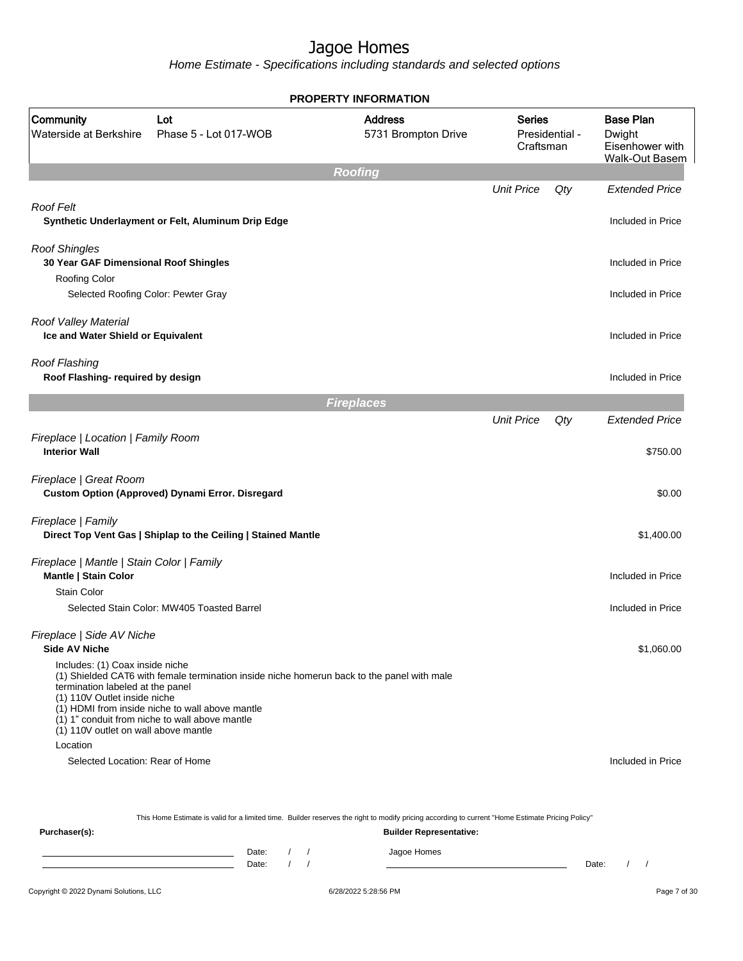Home Estimate - Specifications including standards and selected options

|                                                                                                                                             |                                                                                                                                                                                                 | <b>PROPERTY INFORMATION</b>           |                            |                |                                                                        |
|---------------------------------------------------------------------------------------------------------------------------------------------|-------------------------------------------------------------------------------------------------------------------------------------------------------------------------------------------------|---------------------------------------|----------------------------|----------------|------------------------------------------------------------------------|
| Community<br>Waterside at Berkshire                                                                                                         | Lot<br>Phase 5 - Lot 017-WOB                                                                                                                                                                    | <b>Address</b><br>5731 Brompton Drive | <b>Series</b><br>Craftsman | Presidential - | <b>Base Plan</b><br>Dwight<br>Eisenhower with<br><b>Walk-Out Basem</b> |
|                                                                                                                                             |                                                                                                                                                                                                 | <b>Roofing</b>                        |                            |                |                                                                        |
|                                                                                                                                             |                                                                                                                                                                                                 |                                       | <b>Unit Price</b>          | Qty            | <b>Extended Price</b>                                                  |
| Roof Felt                                                                                                                                   | Synthetic Underlayment or Felt, Aluminum Drip Edge                                                                                                                                              |                                       |                            |                | Included in Price                                                      |
| <b>Roof Shingles</b><br>30 Year GAF Dimensional Roof Shingles<br>Roofing Color                                                              |                                                                                                                                                                                                 |                                       |                            |                | Included in Price                                                      |
| Selected Roofing Color: Pewter Gray                                                                                                         |                                                                                                                                                                                                 |                                       |                            |                | Included in Price                                                      |
| Roof Valley Material<br>Ice and Water Shield or Equivalent                                                                                  |                                                                                                                                                                                                 |                                       |                            |                | Included in Price                                                      |
| Roof Flashing<br>Roof Flashing- required by design                                                                                          |                                                                                                                                                                                                 |                                       |                            |                | Included in Price                                                      |
|                                                                                                                                             |                                                                                                                                                                                                 | <b>Fireplaces</b>                     |                            |                |                                                                        |
|                                                                                                                                             |                                                                                                                                                                                                 |                                       | <b>Unit Price</b>          | Qty            | <b>Extended Price</b>                                                  |
| Fireplace   Location   Family Room<br><b>Interior Wall</b>                                                                                  |                                                                                                                                                                                                 |                                       |                            |                | \$750.00                                                               |
| Fireplace   Great Room                                                                                                                      | Custom Option (Approved) Dynami Error. Disregard                                                                                                                                                |                                       |                            |                | \$0.00                                                                 |
| Fireplace   Family                                                                                                                          | Direct Top Vent Gas   Shiplap to the Ceiling   Stained Mantle                                                                                                                                   |                                       |                            |                | \$1,400.00                                                             |
| Fireplace   Mantle   Stain Color   Family<br>Mantle   Stain Color                                                                           |                                                                                                                                                                                                 |                                       |                            |                | Included in Price                                                      |
| <b>Stain Color</b>                                                                                                                          |                                                                                                                                                                                                 |                                       |                            |                |                                                                        |
|                                                                                                                                             | Selected Stain Color: MW405 Toasted Barrel                                                                                                                                                      |                                       |                            |                | Included in Price                                                      |
| Fireplace   Side AV Niche<br><b>Side AV Niche</b>                                                                                           |                                                                                                                                                                                                 |                                       |                            |                | \$1,060.00                                                             |
| Includes: (1) Coax inside niche<br>termination labeled at the panel<br>(1) 110V Outlet inside niche<br>(1) 110V outlet on wall above mantle | (1) Shielded CAT6 with female termination inside niche homerun back to the panel with male<br>(1) HDMI from inside niche to wall above mantle<br>(1) 1" conduit from niche to wall above mantle |                                       |                            |                |                                                                        |
| Location                                                                                                                                    |                                                                                                                                                                                                 |                                       |                            |                |                                                                        |
| Selected Location: Rear of Home                                                                                                             |                                                                                                                                                                                                 |                                       |                            |                | Included in Price                                                      |
|                                                                                                                                             | This Home Estimate is valid for a limited time. Builder reserves the right to modify pricing according to current "Home Estimate Pricing Policy"                                                |                                       |                            |                |                                                                        |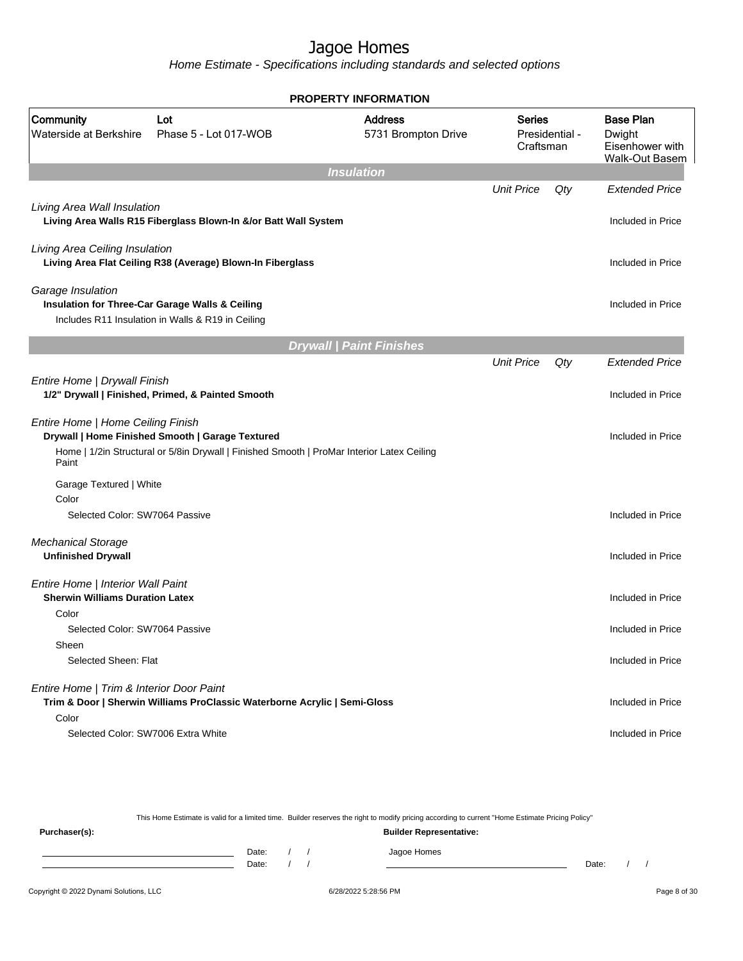Home Estimate - Specifications including standards and selected options

|                                                                                      |                                                                                                                                                | <b>PROPERTY INFORMATION</b>           |                     |                   |                                                                        |
|--------------------------------------------------------------------------------------|------------------------------------------------------------------------------------------------------------------------------------------------|---------------------------------------|---------------------|-------------------|------------------------------------------------------------------------|
| Community<br>Waterside at Berkshire                                                  | Lot<br>Phase 5 - Lot 017-WOB                                                                                                                   | <b>Address</b><br>5731 Brompton Drive | Series<br>Craftsman | Presidential -    | <b>Base Plan</b><br>Dwight<br>Eisenhower with<br><b>Walk-Out Basem</b> |
|                                                                                      |                                                                                                                                                | <b>Insulation</b>                     |                     |                   |                                                                        |
| Living Area Wall Insulation                                                          | Living Area Walls R15 Fiberglass Blown-In &/or Batt Wall System                                                                                |                                       | <b>Unit Price</b>   | Qty               | <b>Extended Price</b><br>Included in Price                             |
| Living Area Ceiling Insulation                                                       | Living Area Flat Ceiling R38 (Average) Blown-In Fiberglass                                                                                     |                                       |                     | Included in Price |                                                                        |
| Garage Insulation                                                                    | Insulation for Three-Car Garage Walls & Ceiling<br>Includes R11 Insulation in Walls & R19 in Ceiling                                           |                                       |                     |                   | Included in Price                                                      |
|                                                                                      |                                                                                                                                                | <b>Drywall   Paint Finishes</b>       |                     |                   |                                                                        |
|                                                                                      |                                                                                                                                                |                                       | <b>Unit Price</b>   | Qty               | Extended Price                                                         |
| Entire Home   Drywall Finish                                                         | 1/2" Drywall   Finished, Primed, & Painted Smooth                                                                                              |                                       |                     |                   | Included in Price                                                      |
| Entire Home   Home Ceiling Finish<br>Paint                                           | Drywall   Home Finished Smooth   Garage Textured<br>Home   1/2in Structural or 5/8in Drywall   Finished Smooth   ProMar Interior Latex Ceiling |                                       |                     |                   | Included in Price                                                      |
| Garage Textured   White<br>Color                                                     |                                                                                                                                                |                                       |                     |                   |                                                                        |
| Selected Color: SW7064 Passive                                                       |                                                                                                                                                |                                       |                     |                   | Included in Price                                                      |
| <b>Mechanical Storage</b><br><b>Unfinished Drywall</b>                               |                                                                                                                                                |                                       |                     |                   | Included in Price                                                      |
| Entire Home   Interior Wall Paint<br><b>Sherwin Williams Duration Latex</b><br>Color |                                                                                                                                                |                                       |                     |                   | Included in Price                                                      |
| Selected Color: SW7064 Passive                                                       |                                                                                                                                                |                                       |                     |                   | Included in Price                                                      |
| Sheen<br>Selected Sheen: Flat                                                        |                                                                                                                                                |                                       |                     |                   | Included in Price                                                      |
| Entire Home   Trim & Interior Door Paint<br>Color                                    | Trim & Door   Sherwin Williams ProClassic Waterborne Acrylic   Semi-Gloss                                                                      |                                       |                     |                   | Included in Price                                                      |
| Selected Color: SW7006 Extra White                                                   |                                                                                                                                                |                                       |                     |                   | Included in Price                                                      |

This Home Estimate is valid for a limited time. Builder reserves the right to modify pricing according to current "Home Estimate Pricing Policy"

**Purchaser(s): Builder Representative:** Date: / / Jagoe Homes<br>Date: / / Jagoe Homes Date: / / **Date: / / 2006** Date: / / / Date: / / /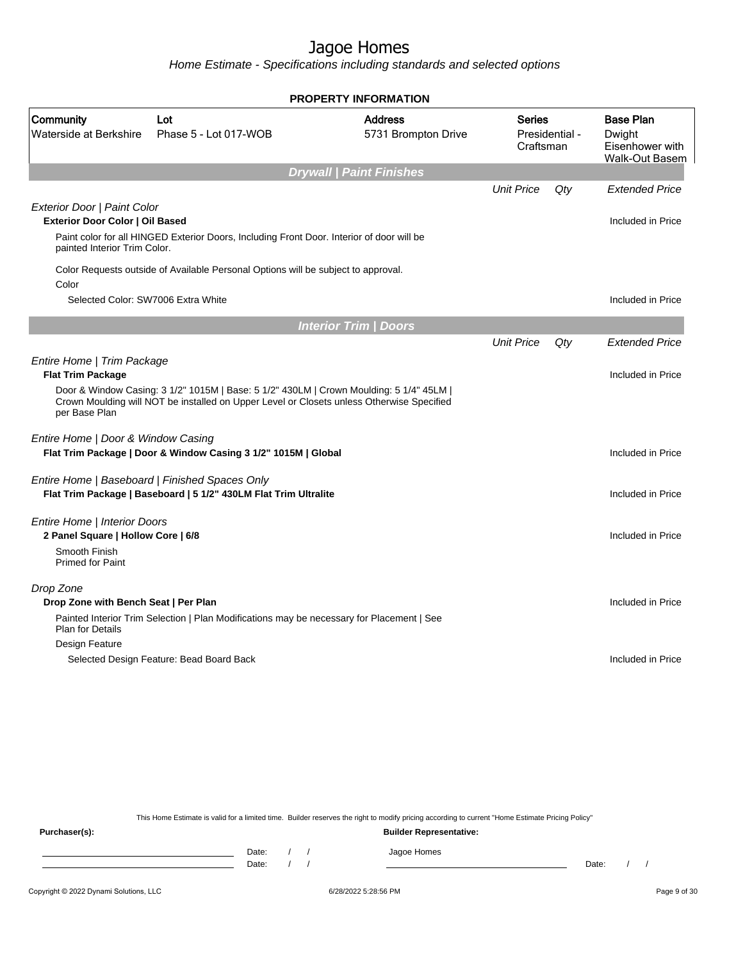Home Estimate - Specifications including standards and selected options

|                                                                       |                                                                                                                                                                                      | <b>PROPERTY INFORMATION</b>           |                                              |     |                                                                        |
|-----------------------------------------------------------------------|--------------------------------------------------------------------------------------------------------------------------------------------------------------------------------------|---------------------------------------|----------------------------------------------|-----|------------------------------------------------------------------------|
| Community<br>Waterside at Berkshire                                   | Lot<br>Phase 5 - Lot 017-WOB                                                                                                                                                         | <b>Address</b><br>5731 Brompton Drive | <b>Series</b><br>Presidential -<br>Craftsman |     | <b>Base Plan</b><br>Dwight<br>Eisenhower with<br><b>Walk-Out Basem</b> |
|                                                                       |                                                                                                                                                                                      | <b>Drywall   Paint Finishes</b>       |                                              |     |                                                                        |
|                                                                       |                                                                                                                                                                                      |                                       | <b>Unit Price</b>                            | Qty | <b>Extended Price</b>                                                  |
| Exterior Door   Paint Color<br><b>Exterior Door Color   Oil Based</b> |                                                                                                                                                                                      |                                       |                                              |     | Included in Price                                                      |
| painted Interior Trim Color.                                          | Paint color for all HINGED Exterior Doors, Including Front Door. Interior of door will be                                                                                            |                                       |                                              |     |                                                                        |
| Color                                                                 | Color Requests outside of Available Personal Options will be subject to approval.                                                                                                    |                                       |                                              |     |                                                                        |
| Selected Color: SW7006 Extra White                                    |                                                                                                                                                                                      |                                       |                                              |     | Included in Price                                                      |
|                                                                       |                                                                                                                                                                                      | <b>Interior Trim / Doors</b>          |                                              |     |                                                                        |
|                                                                       |                                                                                                                                                                                      |                                       | <b>Unit Price</b>                            | Qty | <b>Extended Price</b>                                                  |
| Entire Home   Trim Package<br><b>Flat Trim Package</b>                |                                                                                                                                                                                      |                                       |                                              |     | Included in Price                                                      |
| per Base Plan                                                         | Door & Window Casing: 3 1/2" 1015M   Base: 5 1/2" 430LM   Crown Moulding: 5 1/4" 45LM  <br>Crown Moulding will NOT be installed on Upper Level or Closets unless Otherwise Specified |                                       |                                              |     |                                                                        |
| Entire Home   Door & Window Casing                                    |                                                                                                                                                                                      |                                       |                                              |     |                                                                        |
|                                                                       | Flat Trim Package   Door & Window Casing 3 1/2" 1015M   Global                                                                                                                       |                                       |                                              |     | Included in Price                                                      |
|                                                                       | Entire Home   Baseboard   Finished Spaces Only                                                                                                                                       |                                       |                                              |     |                                                                        |
|                                                                       | Flat Trim Package   Baseboard   5 1/2" 430LM Flat Trim Ultralite                                                                                                                     |                                       |                                              |     | Included in Price                                                      |
| <b>Entire Home   Interior Doors</b>                                   |                                                                                                                                                                                      |                                       |                                              |     |                                                                        |
| 2 Panel Square   Hollow Core   6/8<br>Smooth Finish                   |                                                                                                                                                                                      |                                       |                                              |     | Included in Price                                                      |
| <b>Primed for Paint</b>                                               |                                                                                                                                                                                      |                                       |                                              |     |                                                                        |
| Drop Zone                                                             |                                                                                                                                                                                      |                                       |                                              |     |                                                                        |
| Drop Zone with Bench Seat   Per Plan                                  |                                                                                                                                                                                      |                                       |                                              |     | Included in Price                                                      |
| <b>Plan for Details</b>                                               | Painted Interior Trim Selection   Plan Modifications may be necessary for Placement   See                                                                                            |                                       |                                              |     |                                                                        |
| Design Feature                                                        |                                                                                                                                                                                      |                                       |                                              |     |                                                                        |
|                                                                       | Selected Design Feature: Bead Board Back                                                                                                                                             |                                       |                                              |     | Included in Price                                                      |
|                                                                       |                                                                                                                                                                                      |                                       |                                              |     |                                                                        |

This Home Estimate is valid for a limited time. Builder reserves the right to modify pricing according to current "Home Estimate Pricing Policy"

**Purchaser(s): Builder Representative:** Date: / / Jagoe Homes<br>Date: / / Jagoe Homes Date: / / **Date: / / 2006** Date: / / / Date: / / /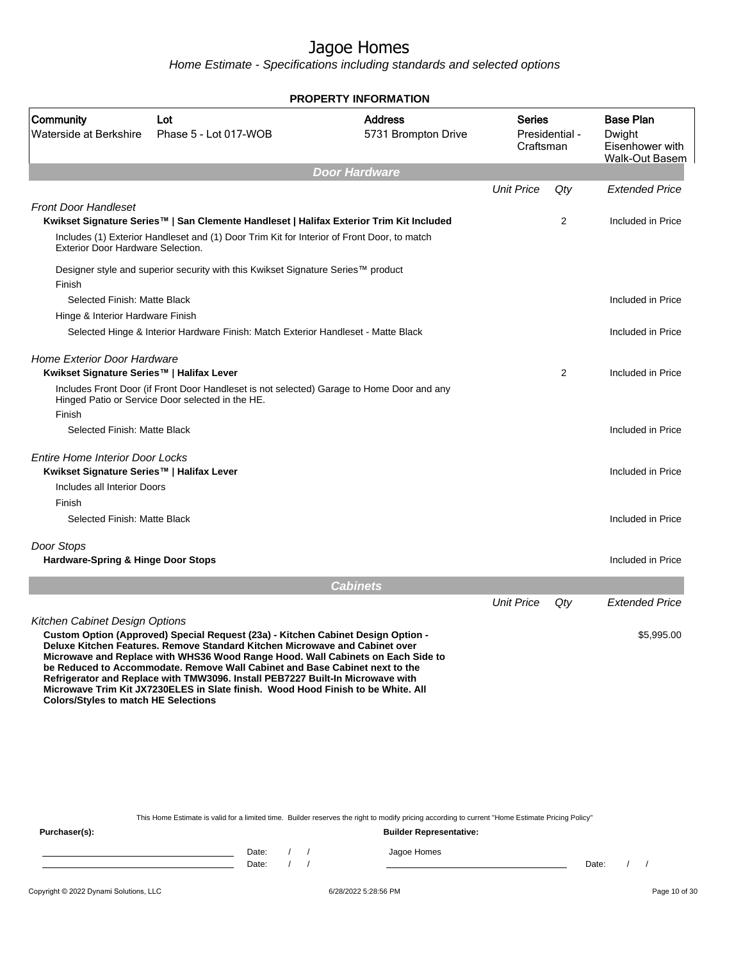Home Estimate - Specifications including standards and selected options

| Community<br><b>Address</b><br><b>Base Plan</b><br>Series<br>Lot<br>Waterside at Berkshire<br>Phase 5 - Lot 017-WOB<br>5731 Brompton Drive<br>Presidential -<br>Dwight<br>Craftsman<br><b>Door Hardware</b><br><b>Unit Price</b><br>Qty<br><b>Front Door Handleset</b><br>Kwikset Signature Series™   San Clemente Handleset   Halifax Exterior Trim Kit Included<br>2<br>Includes (1) Exterior Handleset and (1) Door Trim Kit for Interior of Front Door, to match<br><b>Exterior Door Hardware Selection.</b><br>Designer style and superior security with this Kwikset Signature Series™ product<br>Finish<br>Selected Finish: Matte Black<br>Hinge & Interior Hardware Finish<br>Selected Hinge & Interior Hardware Finish: Match Exterior Handleset - Matte Black<br><b>Home Exterior Door Hardware</b><br>2<br>Kwikset Signature Series™   Halifax Lever<br>Includes Front Door (if Front Door Handleset is not selected) Garage to Home Door and any<br>Hinged Patio or Service Door selected in the HE.<br>Finish<br>Selected Finish: Matte Black<br><b>Entire Home Interior Door Locks</b><br>Kwikset Signature Series™   Halifax Lever<br>Included in Price<br>Includes all Interior Doors<br>Finish<br>Selected Finish: Matte Black<br>Door Stops<br><b>Hardware-Spring &amp; Hinge Door Stops</b><br><b>Cabinets</b><br><b>Unit Price</b><br>Qty<br>Kitchen Cabinet Design Options<br>Custom Option (Approved) Special Request (23a) - Kitchen Cabinet Design Option -<br>Deluxe Kitchen Features. Remove Standard Kitchen Microwave and Cabinet over<br>Microwave and Replace with WHS36 Wood Range Hood. Wall Cabinets on Each Side to<br>be Reduced to Accommodate. Remove Wall Cabinet and Base Cabinet next to the<br>Refrigerator and Replace with TMW3096. Install PEB7227 Built-In Microwave with<br>Microwave Trim Kit JX7230ELES in Slate finish. Wood Hood Finish to be White. All<br><b>Colors/Styles to match HE Selections</b> |  | <b>PROPERTY INFORMATION</b> |  |                                          |
|-----------------------------------------------------------------------------------------------------------------------------------------------------------------------------------------------------------------------------------------------------------------------------------------------------------------------------------------------------------------------------------------------------------------------------------------------------------------------------------------------------------------------------------------------------------------------------------------------------------------------------------------------------------------------------------------------------------------------------------------------------------------------------------------------------------------------------------------------------------------------------------------------------------------------------------------------------------------------------------------------------------------------------------------------------------------------------------------------------------------------------------------------------------------------------------------------------------------------------------------------------------------------------------------------------------------------------------------------------------------------------------------------------------------------------------------------------------------------------------------------------------------------------------------------------------------------------------------------------------------------------------------------------------------------------------------------------------------------------------------------------------------------------------------------------------------------------------------------------------------------------------------------------------------------------------------------------------|--|-----------------------------|--|------------------------------------------|
|                                                                                                                                                                                                                                                                                                                                                                                                                                                                                                                                                                                                                                                                                                                                                                                                                                                                                                                                                                                                                                                                                                                                                                                                                                                                                                                                                                                                                                                                                                                                                                                                                                                                                                                                                                                                                                                                                                                                                           |  |                             |  | Eisenhower with<br><b>Walk-Out Basem</b> |
|                                                                                                                                                                                                                                                                                                                                                                                                                                                                                                                                                                                                                                                                                                                                                                                                                                                                                                                                                                                                                                                                                                                                                                                                                                                                                                                                                                                                                                                                                                                                                                                                                                                                                                                                                                                                                                                                                                                                                           |  |                             |  |                                          |
|                                                                                                                                                                                                                                                                                                                                                                                                                                                                                                                                                                                                                                                                                                                                                                                                                                                                                                                                                                                                                                                                                                                                                                                                                                                                                                                                                                                                                                                                                                                                                                                                                                                                                                                                                                                                                                                                                                                                                           |  |                             |  | <b>Extended Price</b>                    |
|                                                                                                                                                                                                                                                                                                                                                                                                                                                                                                                                                                                                                                                                                                                                                                                                                                                                                                                                                                                                                                                                                                                                                                                                                                                                                                                                                                                                                                                                                                                                                                                                                                                                                                                                                                                                                                                                                                                                                           |  |                             |  |                                          |
|                                                                                                                                                                                                                                                                                                                                                                                                                                                                                                                                                                                                                                                                                                                                                                                                                                                                                                                                                                                                                                                                                                                                                                                                                                                                                                                                                                                                                                                                                                                                                                                                                                                                                                                                                                                                                                                                                                                                                           |  |                             |  | Included in Price                        |
|                                                                                                                                                                                                                                                                                                                                                                                                                                                                                                                                                                                                                                                                                                                                                                                                                                                                                                                                                                                                                                                                                                                                                                                                                                                                                                                                                                                                                                                                                                                                                                                                                                                                                                                                                                                                                                                                                                                                                           |  |                             |  |                                          |
|                                                                                                                                                                                                                                                                                                                                                                                                                                                                                                                                                                                                                                                                                                                                                                                                                                                                                                                                                                                                                                                                                                                                                                                                                                                                                                                                                                                                                                                                                                                                                                                                                                                                                                                                                                                                                                                                                                                                                           |  |                             |  |                                          |
|                                                                                                                                                                                                                                                                                                                                                                                                                                                                                                                                                                                                                                                                                                                                                                                                                                                                                                                                                                                                                                                                                                                                                                                                                                                                                                                                                                                                                                                                                                                                                                                                                                                                                                                                                                                                                                                                                                                                                           |  |                             |  | Included in Price                        |
|                                                                                                                                                                                                                                                                                                                                                                                                                                                                                                                                                                                                                                                                                                                                                                                                                                                                                                                                                                                                                                                                                                                                                                                                                                                                                                                                                                                                                                                                                                                                                                                                                                                                                                                                                                                                                                                                                                                                                           |  |                             |  |                                          |
|                                                                                                                                                                                                                                                                                                                                                                                                                                                                                                                                                                                                                                                                                                                                                                                                                                                                                                                                                                                                                                                                                                                                                                                                                                                                                                                                                                                                                                                                                                                                                                                                                                                                                                                                                                                                                                                                                                                                                           |  |                             |  | Included in Price                        |
|                                                                                                                                                                                                                                                                                                                                                                                                                                                                                                                                                                                                                                                                                                                                                                                                                                                                                                                                                                                                                                                                                                                                                                                                                                                                                                                                                                                                                                                                                                                                                                                                                                                                                                                                                                                                                                                                                                                                                           |  |                             |  | Included in Price                        |
|                                                                                                                                                                                                                                                                                                                                                                                                                                                                                                                                                                                                                                                                                                                                                                                                                                                                                                                                                                                                                                                                                                                                                                                                                                                                                                                                                                                                                                                                                                                                                                                                                                                                                                                                                                                                                                                                                                                                                           |  |                             |  |                                          |
|                                                                                                                                                                                                                                                                                                                                                                                                                                                                                                                                                                                                                                                                                                                                                                                                                                                                                                                                                                                                                                                                                                                                                                                                                                                                                                                                                                                                                                                                                                                                                                                                                                                                                                                                                                                                                                                                                                                                                           |  |                             |  | Included in Price                        |
|                                                                                                                                                                                                                                                                                                                                                                                                                                                                                                                                                                                                                                                                                                                                                                                                                                                                                                                                                                                                                                                                                                                                                                                                                                                                                                                                                                                                                                                                                                                                                                                                                                                                                                                                                                                                                                                                                                                                                           |  |                             |  |                                          |
|                                                                                                                                                                                                                                                                                                                                                                                                                                                                                                                                                                                                                                                                                                                                                                                                                                                                                                                                                                                                                                                                                                                                                                                                                                                                                                                                                                                                                                                                                                                                                                                                                                                                                                                                                                                                                                                                                                                                                           |  |                             |  |                                          |
|                                                                                                                                                                                                                                                                                                                                                                                                                                                                                                                                                                                                                                                                                                                                                                                                                                                                                                                                                                                                                                                                                                                                                                                                                                                                                                                                                                                                                                                                                                                                                                                                                                                                                                                                                                                                                                                                                                                                                           |  |                             |  |                                          |
|                                                                                                                                                                                                                                                                                                                                                                                                                                                                                                                                                                                                                                                                                                                                                                                                                                                                                                                                                                                                                                                                                                                                                                                                                                                                                                                                                                                                                                                                                                                                                                                                                                                                                                                                                                                                                                                                                                                                                           |  |                             |  | Included in Price                        |
|                                                                                                                                                                                                                                                                                                                                                                                                                                                                                                                                                                                                                                                                                                                                                                                                                                                                                                                                                                                                                                                                                                                                                                                                                                                                                                                                                                                                                                                                                                                                                                                                                                                                                                                                                                                                                                                                                                                                                           |  |                             |  |                                          |
|                                                                                                                                                                                                                                                                                                                                                                                                                                                                                                                                                                                                                                                                                                                                                                                                                                                                                                                                                                                                                                                                                                                                                                                                                                                                                                                                                                                                                                                                                                                                                                                                                                                                                                                                                                                                                                                                                                                                                           |  |                             |  | Included in Price                        |
|                                                                                                                                                                                                                                                                                                                                                                                                                                                                                                                                                                                                                                                                                                                                                                                                                                                                                                                                                                                                                                                                                                                                                                                                                                                                                                                                                                                                                                                                                                                                                                                                                                                                                                                                                                                                                                                                                                                                                           |  |                             |  |                                          |
|                                                                                                                                                                                                                                                                                                                                                                                                                                                                                                                                                                                                                                                                                                                                                                                                                                                                                                                                                                                                                                                                                                                                                                                                                                                                                                                                                                                                                                                                                                                                                                                                                                                                                                                                                                                                                                                                                                                                                           |  |                             |  | <b>Extended Price</b>                    |
|                                                                                                                                                                                                                                                                                                                                                                                                                                                                                                                                                                                                                                                                                                                                                                                                                                                                                                                                                                                                                                                                                                                                                                                                                                                                                                                                                                                                                                                                                                                                                                                                                                                                                                                                                                                                                                                                                                                                                           |  |                             |  | \$5,995.00                               |
|                                                                                                                                                                                                                                                                                                                                                                                                                                                                                                                                                                                                                                                                                                                                                                                                                                                                                                                                                                                                                                                                                                                                                                                                                                                                                                                                                                                                                                                                                                                                                                                                                                                                                                                                                                                                                                                                                                                                                           |  |                             |  |                                          |
|                                                                                                                                                                                                                                                                                                                                                                                                                                                                                                                                                                                                                                                                                                                                                                                                                                                                                                                                                                                                                                                                                                                                                                                                                                                                                                                                                                                                                                                                                                                                                                                                                                                                                                                                                                                                                                                                                                                                                           |  |                             |  |                                          |
|                                                                                                                                                                                                                                                                                                                                                                                                                                                                                                                                                                                                                                                                                                                                                                                                                                                                                                                                                                                                                                                                                                                                                                                                                                                                                                                                                                                                                                                                                                                                                                                                                                                                                                                                                                                                                                                                                                                                                           |  |                             |  |                                          |
|                                                                                                                                                                                                                                                                                                                                                                                                                                                                                                                                                                                                                                                                                                                                                                                                                                                                                                                                                                                                                                                                                                                                                                                                                                                                                                                                                                                                                                                                                                                                                                                                                                                                                                                                                                                                                                                                                                                                                           |  |                             |  |                                          |

This Home Estimate is valid for a limited time. Builder reserves the right to modify pricing according to current "Home Estimate Pricing Policy"

| Purchaser(s): |                |  | <b>Builder Representative:</b> |       |  |
|---------------|----------------|--|--------------------------------|-------|--|
|               | Date:<br>Date: |  | Jagoe Homes                    | Date: |  |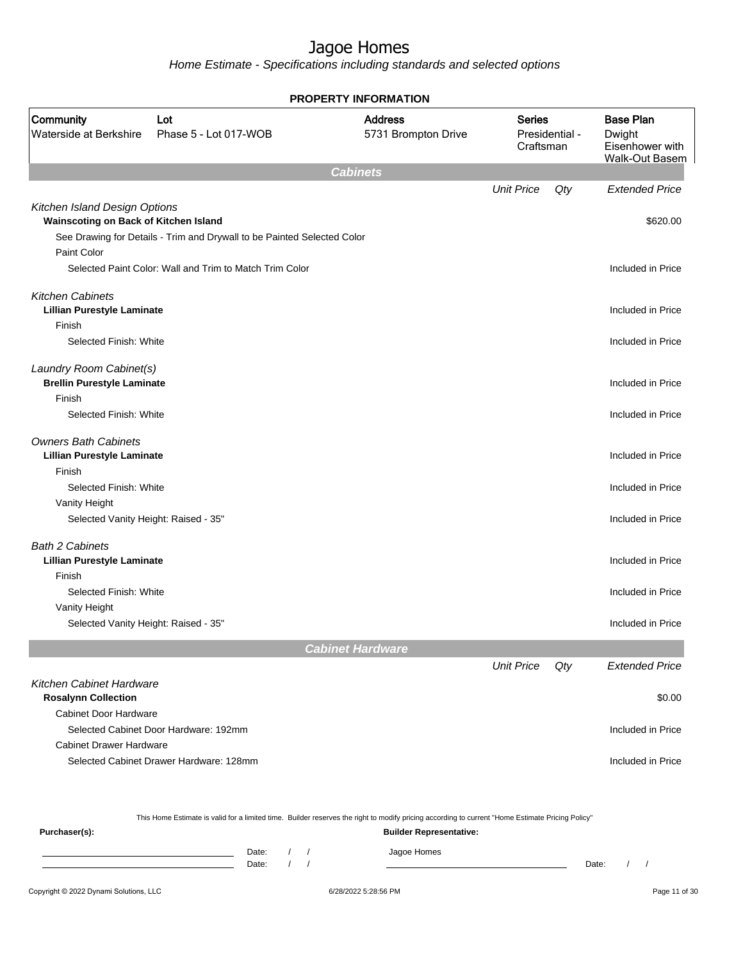Home Estimate - Specifications including standards and selected options

|                                                                        |                                                                         | <b>PROPERTY INFORMATION</b>           |                            |                |                                                                        |
|------------------------------------------------------------------------|-------------------------------------------------------------------------|---------------------------------------|----------------------------|----------------|------------------------------------------------------------------------|
| Community<br>Waterside at Berkshire                                    | Lot<br>Phase 5 - Lot 017-WOB                                            | <b>Address</b><br>5731 Brompton Drive | <b>Series</b><br>Craftsman | Presidential - | <b>Base Plan</b><br>Dwight<br>Eisenhower with<br><b>Walk-Out Basem</b> |
|                                                                        |                                                                         | <b>Cabinets</b>                       |                            |                |                                                                        |
|                                                                        |                                                                         |                                       | <b>Unit Price</b>          | Qty            | <b>Extended Price</b>                                                  |
| Kitchen Island Design Options<br>Wainscoting on Back of Kitchen Island |                                                                         |                                       |                            |                |                                                                        |
|                                                                        |                                                                         |                                       |                            |                | \$620.00                                                               |
| Paint Color                                                            | See Drawing for Details - Trim and Drywall to be Painted Selected Color |                                       |                            |                |                                                                        |
|                                                                        | Selected Paint Color: Wall and Trim to Match Trim Color                 |                                       |                            |                | Included in Price                                                      |
|                                                                        |                                                                         |                                       |                            |                |                                                                        |
| <b>Kitchen Cabinets</b>                                                |                                                                         |                                       |                            |                |                                                                        |
| <b>Lillian Purestyle Laminate</b>                                      |                                                                         |                                       |                            |                | Included in Price                                                      |
| Finish                                                                 |                                                                         |                                       |                            |                |                                                                        |
| Selected Finish: White                                                 |                                                                         |                                       |                            |                | Included in Price                                                      |
| Laundry Room Cabinet(s)                                                |                                                                         |                                       |                            |                |                                                                        |
| <b>Brellin Purestyle Laminate</b>                                      |                                                                         |                                       |                            |                | Included in Price                                                      |
| Finish                                                                 |                                                                         |                                       |                            |                |                                                                        |
| Selected Finish: White                                                 |                                                                         |                                       |                            |                | Included in Price                                                      |
| <b>Owners Bath Cabinets</b>                                            |                                                                         |                                       |                            |                |                                                                        |
| <b>Lillian Purestyle Laminate</b>                                      |                                                                         |                                       |                            |                | Included in Price                                                      |
| Finish                                                                 |                                                                         |                                       |                            |                |                                                                        |
| Selected Finish: White                                                 |                                                                         |                                       |                            |                | Included in Price                                                      |
| Vanity Height                                                          |                                                                         |                                       |                            |                |                                                                        |
| Selected Vanity Height: Raised - 35"                                   |                                                                         |                                       |                            |                | Included in Price                                                      |
| <b>Bath 2 Cabinets</b>                                                 |                                                                         |                                       |                            |                |                                                                        |
| <b>Lillian Purestyle Laminate</b>                                      |                                                                         |                                       |                            |                | Included in Price                                                      |
| Finish                                                                 |                                                                         |                                       |                            |                |                                                                        |
| Selected Finish: White                                                 |                                                                         |                                       |                            |                | Included in Price                                                      |
| Vanity Height                                                          |                                                                         |                                       |                            |                |                                                                        |
| Selected Vanity Height: Raised - 35"                                   |                                                                         |                                       |                            |                | Included in Price                                                      |
|                                                                        |                                                                         | <b>Cabinet Hardware</b>               |                            |                |                                                                        |
|                                                                        |                                                                         |                                       | <b>Unit Price</b>          | Qty            | <b>Extended Price</b>                                                  |
| Kitchen Cabinet Hardware                                               |                                                                         |                                       |                            |                |                                                                        |
| <b>Rosalynn Collection</b>                                             |                                                                         |                                       |                            |                | \$0.00                                                                 |
| <b>Cabinet Door Hardware</b>                                           |                                                                         |                                       |                            |                |                                                                        |
|                                                                        | Selected Cabinet Door Hardware: 192mm                                   |                                       |                            |                | Included in Price                                                      |
| <b>Cabinet Drawer Hardware</b>                                         |                                                                         |                                       |                            |                |                                                                        |
|                                                                        | Selected Cabinet Drawer Hardware: 128mm                                 |                                       |                            |                | Included in Price                                                      |
|                                                                        |                                                                         |                                       |                            |                |                                                                        |

This Home Estimate is valid for a limited time. Builder reserves the right to modify pricing according to current "Home Estimate Pricing Policy"

**Purchaser(s): Builder Representative:** Date: / / Jagoe Homes<br>Date: / / Jagoe Homes Date: / / **Date: / / 2006** Date: / / / Date: / / / Date: / / / 2006 Date: / / / 2006 Date: / / / 2006 Date: / / / 2006 Date: / / / 2007 Date: / / / 2007 Date: / / / 2007 Date: / / / 2007 Date: / / / 2007 Date: / / / 2007 D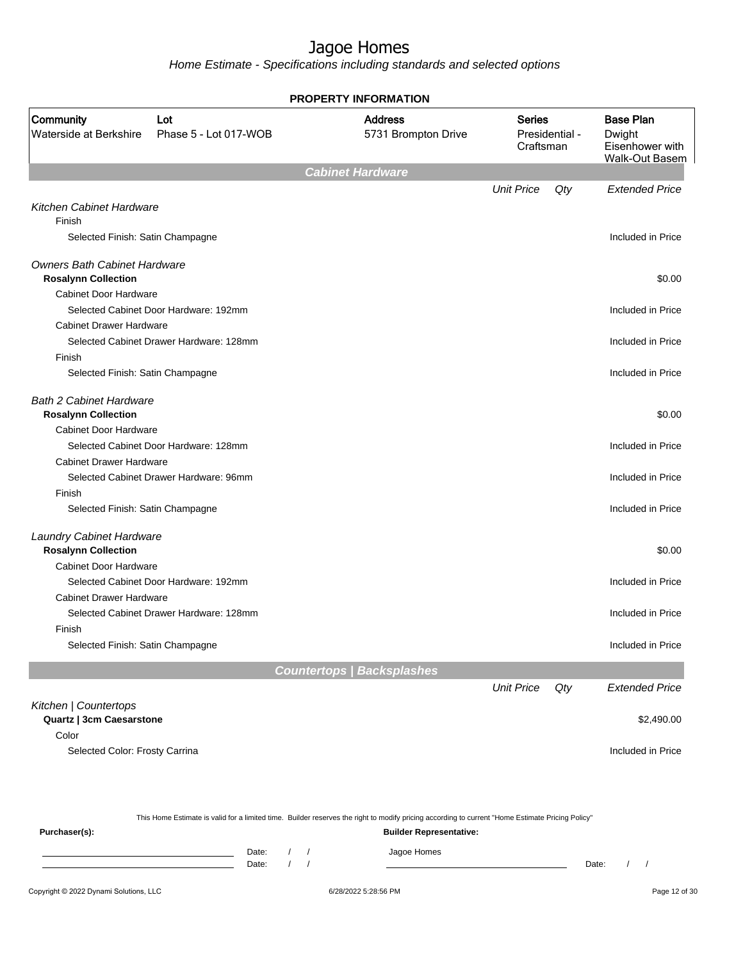Home Estimate - Specifications including standards and selected options

|                                            |                                         | <b>PROPERTY INFORMATION</b>           |                                              |                                                                        |
|--------------------------------------------|-----------------------------------------|---------------------------------------|----------------------------------------------|------------------------------------------------------------------------|
| <b>Community</b><br>Waterside at Berkshire | Lot<br>Phase 5 - Lot 017-WOB            | <b>Address</b><br>5731 Brompton Drive | <b>Series</b><br>Presidential -<br>Craftsman | <b>Base Plan</b><br>Dwight<br>Eisenhower with<br><b>Walk-Out Basem</b> |
|                                            |                                         | <b>Cabinet Hardware</b>               |                                              |                                                                        |
|                                            |                                         |                                       | <b>Unit Price</b><br>Qty                     | <b>Extended Price</b>                                                  |
| Kitchen Cabinet Hardware                   |                                         |                                       |                                              |                                                                        |
| Finish                                     |                                         |                                       |                                              |                                                                        |
| Selected Finish: Satin Champagne           |                                         |                                       |                                              | Included in Price                                                      |
| <b>Owners Bath Cabinet Hardware</b>        |                                         |                                       |                                              |                                                                        |
| <b>Rosalynn Collection</b>                 |                                         |                                       |                                              | \$0.00                                                                 |
| <b>Cabinet Door Hardware</b>               |                                         |                                       |                                              |                                                                        |
|                                            | Selected Cabinet Door Hardware: 192mm   |                                       |                                              | Included in Price                                                      |
| <b>Cabinet Drawer Hardware</b>             |                                         |                                       |                                              |                                                                        |
|                                            | Selected Cabinet Drawer Hardware: 128mm |                                       |                                              | Included in Price                                                      |
| Finish                                     |                                         |                                       |                                              |                                                                        |
| Selected Finish: Satin Champagne           |                                         |                                       |                                              | Included in Price                                                      |
| <b>Bath 2 Cabinet Hardware</b>             |                                         |                                       |                                              |                                                                        |
| <b>Rosalynn Collection</b>                 |                                         |                                       |                                              | \$0.00                                                                 |
| <b>Cabinet Door Hardware</b>               |                                         |                                       |                                              |                                                                        |
|                                            | Selected Cabinet Door Hardware: 128mm   |                                       |                                              | Included in Price                                                      |
| <b>Cabinet Drawer Hardware</b>             |                                         |                                       |                                              |                                                                        |
|                                            | Selected Cabinet Drawer Hardware: 96mm  |                                       |                                              | Included in Price                                                      |
| Finish                                     |                                         |                                       |                                              |                                                                        |
| Selected Finish: Satin Champagne           |                                         |                                       |                                              | Included in Price                                                      |
| <b>Laundry Cabinet Hardware</b>            |                                         |                                       |                                              |                                                                        |
| <b>Rosalynn Collection</b>                 |                                         |                                       |                                              | \$0.00                                                                 |
| <b>Cabinet Door Hardware</b>               |                                         |                                       |                                              |                                                                        |
|                                            | Selected Cabinet Door Hardware: 192mm   |                                       |                                              | Included in Price                                                      |
| <b>Cabinet Drawer Hardware</b>             |                                         |                                       |                                              |                                                                        |
|                                            | Selected Cabinet Drawer Hardware: 128mm |                                       |                                              | Included in Price                                                      |
| Finish                                     |                                         |                                       |                                              |                                                                        |
| Selected Finish: Satin Champagne           |                                         |                                       |                                              | Included in Price                                                      |
|                                            |                                         | <b>Countertops   Backsplashes</b>     |                                              |                                                                        |
|                                            |                                         |                                       | <b>Unit Price</b><br>Qty                     | <b>Extended Price</b>                                                  |
| Kitchen   Countertops                      |                                         |                                       |                                              |                                                                        |
| Quartz   3cm Caesarstone                   |                                         |                                       |                                              | \$2,490.00                                                             |
| Color                                      |                                         |                                       |                                              |                                                                        |
| Selected Color: Frosty Carrina             |                                         |                                       |                                              | Included in Price                                                      |
|                                            |                                         |                                       |                                              |                                                                        |

|               | This Home Estimate is valid for a limited time. Builder reserves the right to modify pricing according to current "Home Estimate Pricing Policy" |  |  |                                |       |  |  |  |
|---------------|--------------------------------------------------------------------------------------------------------------------------------------------------|--|--|--------------------------------|-------|--|--|--|
| Purchaser(s): |                                                                                                                                                  |  |  | <b>Builder Representative:</b> |       |  |  |  |
|               | Date:                                                                                                                                            |  |  | Jagoe Homes                    |       |  |  |  |
|               | Date:                                                                                                                                            |  |  |                                | Date: |  |  |  |
|               |                                                                                                                                                  |  |  |                                |       |  |  |  |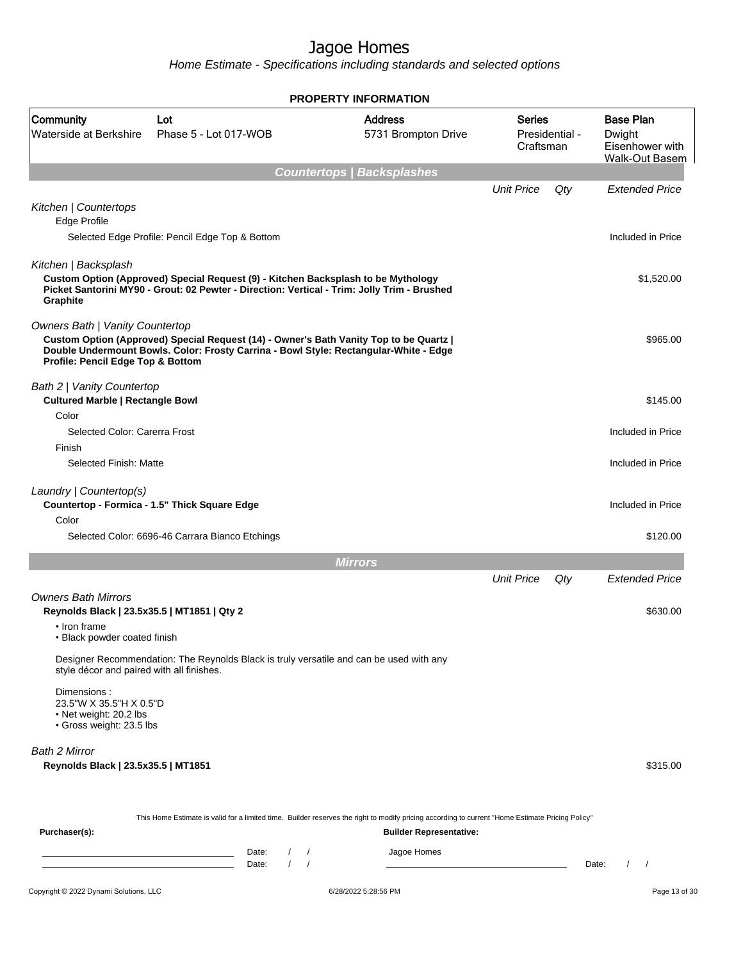Home Estimate - Specifications including standards and selected options

|                                                                                                                           |                                                                                                                                                                                  | <b>PROPERTY INFORMATION</b>           |                            |                |                                                                        |
|---------------------------------------------------------------------------------------------------------------------------|----------------------------------------------------------------------------------------------------------------------------------------------------------------------------------|---------------------------------------|----------------------------|----------------|------------------------------------------------------------------------|
| Community<br>Waterside at Berkshire                                                                                       | Lot<br>Phase 5 - Lot 017-WOB                                                                                                                                                     | <b>Address</b><br>5731 Brompton Drive | <b>Series</b><br>Craftsman | Presidential - | <b>Base Plan</b><br>Dwight<br>Eisenhower with<br><b>Walk-Out Basem</b> |
|                                                                                                                           |                                                                                                                                                                                  | <b>Countertops / Backsplashes</b>     |                            |                |                                                                        |
| Kitchen   Countertops<br>Edge Profile                                                                                     |                                                                                                                                                                                  |                                       | <b>Unit Price</b>          | Qty            | <b>Extended Price</b>                                                  |
|                                                                                                                           | Selected Edge Profile: Pencil Edge Top & Bottom                                                                                                                                  |                                       |                            |                | Included in Price                                                      |
| Kitchen   Backsplash<br>Graphite                                                                                          | Custom Option (Approved) Special Request (9) - Kitchen Backsplash to be Mythology<br>Picket Santorini MY90 - Grout: 02 Pewter - Direction: Vertical - Trim: Jolly Trim - Brushed |                                       |                            |                | \$1,520.00                                                             |
| <b>Owners Bath   Vanity Countertop</b><br>Profile: Pencil Edge Top & Bottom                                               | Custom Option (Approved) Special Request (14) - Owner's Bath Vanity Top to be Quartz  <br>Double Undermount Bowls. Color: Frosty Carrina - Bowl Style: Rectangular-White - Edge  |                                       |                            |                | \$965.00                                                               |
| Bath 2   Vanity Countertop<br><b>Cultured Marble   Rectangle Bowl</b><br>Color                                            |                                                                                                                                                                                  |                                       |                            |                | \$145.00                                                               |
| Selected Color: Carerra Frost                                                                                             |                                                                                                                                                                                  |                                       |                            |                | Included in Price                                                      |
| Finish                                                                                                                    |                                                                                                                                                                                  |                                       |                            |                |                                                                        |
| Selected Finish: Matte                                                                                                    |                                                                                                                                                                                  |                                       |                            |                | Included in Price                                                      |
| Laundry   Countertop(s)                                                                                                   | Countertop - Formica - 1.5" Thick Square Edge                                                                                                                                    |                                       |                            |                | Included in Price                                                      |
| Color                                                                                                                     | Selected Color: 6696-46 Carrara Bianco Etchings                                                                                                                                  |                                       |                            |                | \$120.00                                                               |
|                                                                                                                           |                                                                                                                                                                                  | <b>Mirrors</b>                        |                            |                |                                                                        |
|                                                                                                                           |                                                                                                                                                                                  |                                       | <b>Unit Price</b>          | Qty            | <b>Extended Price</b>                                                  |
| <b>Owners Bath Mirrors</b><br>Reynolds Black   23.5x35.5   MT1851   Qty 2<br>• Iron frame<br>• Black powder coated finish |                                                                                                                                                                                  |                                       |                            |                | \$630.00                                                               |
| style décor and paired with all finishes.                                                                                 | Designer Recommendation: The Reynolds Black is truly versatile and can be used with any                                                                                          |                                       |                            |                |                                                                        |
| Dimensions:<br>23.5"W X 35.5"H X 0.5"D<br>• Net weight: 20.2 lbs<br>· Gross weight: 23.5 lbs                              |                                                                                                                                                                                  |                                       |                            |                |                                                                        |
| Bath 2 Mirror<br>Reynolds Black   23.5x35.5   MT1851                                                                      |                                                                                                                                                                                  |                                       |                            |                | \$315.00                                                               |
| Purchaser(s):                                                                                                             | This Home Estimate is valid for a limited time. Builder reserves the right to modify pricing according to current "Home Estimate Pricing Policy"                                 | <b>Builder Representative:</b>        |                            |                |                                                                        |
|                                                                                                                           | Date:<br>$\sqrt{ }$<br><u> 1989 - Johann Barn, mars ann an t-Amhair ann an t-Amhair an t-Amhair ann an t-Amhair an t-Amhair ann an t-A</u>                                       | Jagoe Homes                           |                            |                |                                                                        |
|                                                                                                                           | 1<br>Date:<br>the control of the control of the control of the control of                                                                                                        |                                       |                            |                | Date:<br>$\frac{1}{2}$                                                 |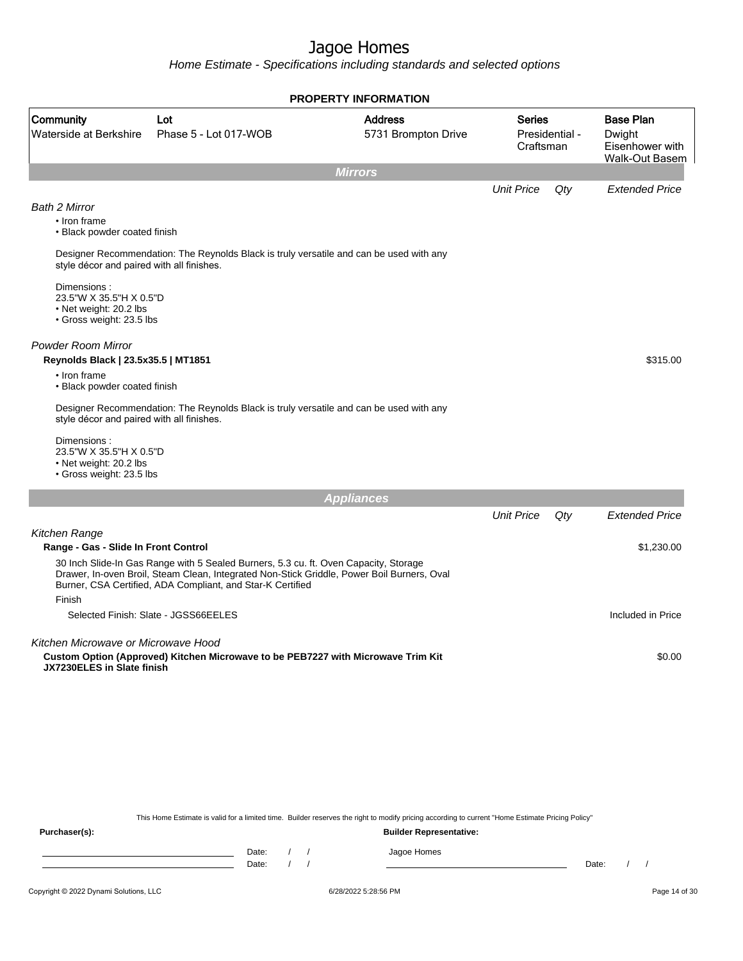Home Estimate - Specifications including standards and selected options

|                                                                                              |                                                                                                                                                                                                                                                  | <b>PROPERTY INFORMATION</b>           |                            |                |                                                                        |
|----------------------------------------------------------------------------------------------|--------------------------------------------------------------------------------------------------------------------------------------------------------------------------------------------------------------------------------------------------|---------------------------------------|----------------------------|----------------|------------------------------------------------------------------------|
| Community<br>Waterside at Berkshire                                                          | Lot<br>Phase 5 - Lot 017-WOB                                                                                                                                                                                                                     | <b>Address</b><br>5731 Brompton Drive | <b>Series</b><br>Craftsman | Presidential - | <b>Base Plan</b><br>Dwight<br>Eisenhower with<br><b>Walk-Out Basem</b> |
|                                                                                              |                                                                                                                                                                                                                                                  | <b>Mirrors</b>                        |                            |                |                                                                        |
| <b>Bath 2 Mirror</b><br>• Iron frame<br>• Black powder coated finish                         |                                                                                                                                                                                                                                                  |                                       | <b>Unit Price</b>          | Qty            | <b>Extended Price</b>                                                  |
| style décor and paired with all finishes.<br>Dimensions:<br>23.5"W X 35.5"H X 0.5"D          | Designer Recommendation: The Reynolds Black is truly versatile and can be used with any                                                                                                                                                          |                                       |                            |                |                                                                        |
| • Net weight: 20.2 lbs<br>• Gross weight: 23.5 lbs                                           |                                                                                                                                                                                                                                                  |                                       |                            |                |                                                                        |
| <b>Powder Room Mirror</b><br>Reynolds Black   23.5x35.5   MT1851                             |                                                                                                                                                                                                                                                  |                                       |                            |                | \$315.00                                                               |
| • Iron frame<br>• Black powder coated finish                                                 |                                                                                                                                                                                                                                                  |                                       |                            |                |                                                                        |
| style décor and paired with all finishes.                                                    | Designer Recommendation: The Reynolds Black is truly versatile and can be used with any                                                                                                                                                          |                                       |                            |                |                                                                        |
| Dimensions:<br>23.5"W X 35.5"H X 0.5"D<br>• Net weight: 20.2 lbs<br>· Gross weight: 23.5 lbs |                                                                                                                                                                                                                                                  |                                       |                            |                |                                                                        |
|                                                                                              |                                                                                                                                                                                                                                                  | <b>Appliances</b>                     |                            |                |                                                                        |
|                                                                                              |                                                                                                                                                                                                                                                  |                                       | <b>Unit Price</b>          | Qty            | <b>Extended Price</b>                                                  |
| Kitchen Range                                                                                |                                                                                                                                                                                                                                                  |                                       |                            |                |                                                                        |
| Range - Gas - Slide In Front Control                                                         |                                                                                                                                                                                                                                                  |                                       |                            |                | \$1,230.00                                                             |
|                                                                                              | 30 Inch Slide-In Gas Range with 5 Sealed Burners, 5.3 cu. ft. Oven Capacity, Storage<br>Drawer, In-oven Broil, Steam Clean, Integrated Non-Stick Griddle, Power Boil Burners, Oval<br>Burner, CSA Certified, ADA Compliant, and Star-K Certified |                                       |                            |                |                                                                        |
| Finish                                                                                       |                                                                                                                                                                                                                                                  |                                       |                            |                |                                                                        |
|                                                                                              | Selected Finish: Slate - JGSS66EELES                                                                                                                                                                                                             |                                       |                            |                | Included in Price                                                      |
| Kitchen Microwave or Microwave Hood                                                          |                                                                                                                                                                                                                                                  |                                       |                            |                |                                                                        |
| JX7230ELES in Slate finish                                                                   | Custom Option (Approved) Kitchen Microwave to be PEB7227 with Microwave Trim Kit                                                                                                                                                                 |                                       |                            |                | \$0.00                                                                 |
|                                                                                              |                                                                                                                                                                                                                                                  |                                       |                            |                |                                                                        |
|                                                                                              |                                                                                                                                                                                                                                                  |                                       |                            |                |                                                                        |

This Home Estimate is valid for a limited time. Builder reserves the right to modify pricing according to current "Home Estimate Pricing Policy"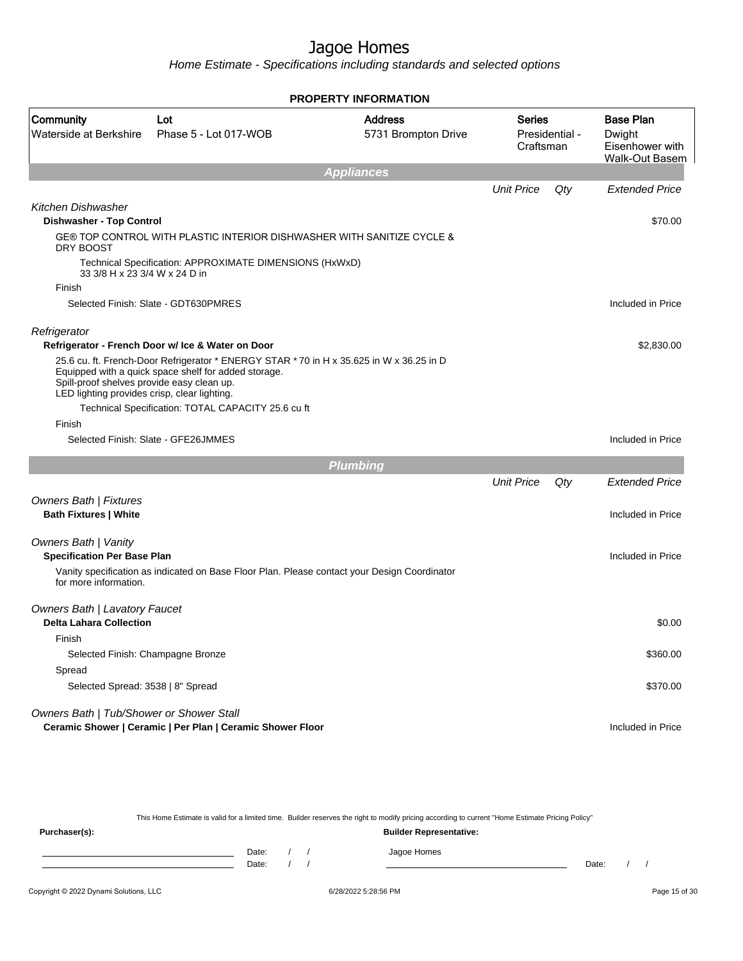Home Estimate - Specifications including standards and selected options

|                                                                                            |                                                                                                                                                                                                        | <b>PROPERTY INFORMATION</b>           |                            |                |                                                                        |
|--------------------------------------------------------------------------------------------|--------------------------------------------------------------------------------------------------------------------------------------------------------------------------------------------------------|---------------------------------------|----------------------------|----------------|------------------------------------------------------------------------|
| Community<br>Waterside at Berkshire                                                        | Lot<br>Phase 5 - Lot 017-WOB                                                                                                                                                                           | <b>Address</b><br>5731 Brompton Drive | <b>Series</b><br>Craftsman | Presidential - | <b>Base Plan</b><br>Dwight<br>Eisenhower with<br><b>Walk-Out Basem</b> |
|                                                                                            |                                                                                                                                                                                                        | <b>Appliances</b>                     |                            |                |                                                                        |
| <b>Kitchen Dishwasher</b>                                                                  |                                                                                                                                                                                                        |                                       | <b>Unit Price</b>          | Qty            | <b>Extended Price</b>                                                  |
| <b>Dishwasher - Top Control</b>                                                            |                                                                                                                                                                                                        |                                       |                            |                | \$70.00                                                                |
| DRY BOOST                                                                                  | GE® TOP CONTROL WITH PLASTIC INTERIOR DISHWASHER WITH SANITIZE CYCLE &                                                                                                                                 |                                       |                            |                |                                                                        |
| 33 3/8 H x 23 3/4 W x 24 D in                                                              | Technical Specification: APPROXIMATE DIMENSIONS (HxWxD)                                                                                                                                                |                                       |                            |                |                                                                        |
| Finish                                                                                     |                                                                                                                                                                                                        |                                       |                            |                |                                                                        |
|                                                                                            | Selected Finish: Slate - GDT630PMRES                                                                                                                                                                   |                                       |                            |                | Included in Price                                                      |
| Refrigerator                                                                               | Refrigerator - French Door w/ Ice & Water on Door                                                                                                                                                      |                                       |                            |                | \$2,830.00                                                             |
| Spill-proof shelves provide easy clean up.<br>LED lighting provides crisp, clear lighting. | 25.6 cu. ft. French-Door Refrigerator * ENERGY STAR * 70 in H x 35.625 in W x 36.25 in D<br>Equipped with a quick space shelf for added storage.<br>Technical Specification: TOTAL CAPACITY 25.6 cu ft |                                       |                            |                |                                                                        |
| Finish                                                                                     | Selected Finish: Slate - GFE26JMMES                                                                                                                                                                    |                                       |                            |                | Included in Price                                                      |
|                                                                                            |                                                                                                                                                                                                        |                                       |                            |                |                                                                        |
|                                                                                            |                                                                                                                                                                                                        | <b>Plumbing</b>                       |                            |                |                                                                        |
|                                                                                            |                                                                                                                                                                                                        |                                       | <b>Unit Price</b>          | Qty            | <b>Extended Price</b>                                                  |
| <b>Owners Bath   Fixtures</b><br><b>Bath Fixtures   White</b>                              |                                                                                                                                                                                                        |                                       |                            |                | Included in Price                                                      |
| <b>Owners Bath   Vanity</b><br><b>Specification Per Base Plan</b>                          |                                                                                                                                                                                                        |                                       |                            |                | Included in Price                                                      |
| for more information.                                                                      | Vanity specification as indicated on Base Floor Plan. Please contact your Design Coordinator                                                                                                           |                                       |                            |                |                                                                        |
| <b>Owners Bath   Lavatory Faucet</b><br><b>Delta Lahara Collection</b>                     |                                                                                                                                                                                                        |                                       |                            |                | \$0.00                                                                 |
| Finish                                                                                     |                                                                                                                                                                                                        |                                       |                            |                |                                                                        |
| Selected Finish: Champagne Bronze                                                          |                                                                                                                                                                                                        |                                       |                            |                | \$360.00                                                               |
| Spread                                                                                     |                                                                                                                                                                                                        |                                       |                            |                |                                                                        |
| Selected Spread: 3538   8" Spread                                                          |                                                                                                                                                                                                        |                                       |                            |                | \$370.00                                                               |
| Owners Bath   Tub/Shower or Shower Stall                                                   |                                                                                                                                                                                                        |                                       |                            |                |                                                                        |
|                                                                                            | Ceramic Shower   Ceramic   Per Plan   Ceramic Shower Floor                                                                                                                                             |                                       |                            |                | Included in Price                                                      |

This Home Estimate is valid for a limited time. Builder reserves the right to modify pricing according to current "Home Estimate Pricing Policy"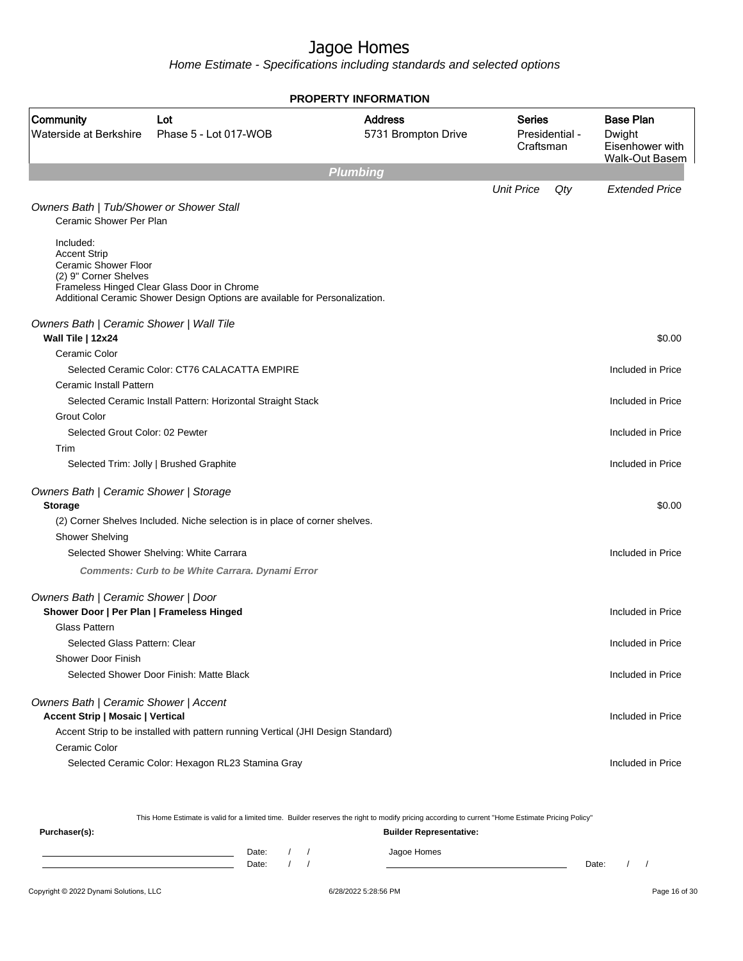Home Estimate - Specifications including standards and selected options

|                                                                                          |                                                                                                                            | <b>PROPERTY INFORMATION</b>           |                            |                |                                                                        |
|------------------------------------------------------------------------------------------|----------------------------------------------------------------------------------------------------------------------------|---------------------------------------|----------------------------|----------------|------------------------------------------------------------------------|
| Community<br>Waterside at Berkshire                                                      | Lot<br>Phase 5 - Lot 017-WOB                                                                                               | <b>Address</b><br>5731 Brompton Drive | <b>Series</b><br>Craftsman | Presidential - | <b>Base Plan</b><br>Dwight<br>Eisenhower with<br><b>Walk-Out Basem</b> |
|                                                                                          |                                                                                                                            | <b>Plumbing</b>                       |                            |                |                                                                        |
| Owners Bath   Tub/Shower or Shower Stall<br>Ceramic Shower Per Plan                      |                                                                                                                            |                                       | <b>Unit Price</b>          | Qty            | <b>Extended Price</b>                                                  |
| Included:<br><b>Accent Strip</b><br><b>Ceramic Shower Floor</b><br>(2) 9" Corner Shelves | Frameless Hinged Clear Glass Door in Chrome<br>Additional Ceramic Shower Design Options are available for Personalization. |                                       |                            |                |                                                                        |
| Owners Bath   Ceramic Shower   Wall Tile                                                 |                                                                                                                            |                                       |                            |                |                                                                        |
| Wall Tile   12x24                                                                        |                                                                                                                            |                                       |                            |                | \$0.00                                                                 |
| Ceramic Color                                                                            |                                                                                                                            |                                       |                            |                |                                                                        |
| Ceramic Install Pattern                                                                  | Selected Ceramic Color: CT76 CALACATTA EMPIRE                                                                              |                                       |                            |                | Included in Price                                                      |
|                                                                                          | Selected Ceramic Install Pattern: Horizontal Straight Stack                                                                |                                       |                            |                | Included in Price                                                      |
| <b>Grout Color</b>                                                                       |                                                                                                                            |                                       |                            |                |                                                                        |
| Selected Grout Color: 02 Pewter                                                          |                                                                                                                            |                                       |                            |                | Included in Price                                                      |
| Trim                                                                                     |                                                                                                                            |                                       |                            |                |                                                                        |
|                                                                                          | Selected Trim: Jolly   Brushed Graphite                                                                                    |                                       |                            |                | Included in Price                                                      |
| Owners Bath   Ceramic Shower   Storage<br><b>Storage</b>                                 |                                                                                                                            |                                       |                            |                | \$0.00                                                                 |
|                                                                                          | (2) Corner Shelves Included. Niche selection is in place of corner shelves.                                                |                                       |                            |                |                                                                        |
| <b>Shower Shelving</b>                                                                   |                                                                                                                            |                                       |                            |                |                                                                        |
|                                                                                          | Selected Shower Shelving: White Carrara                                                                                    |                                       |                            |                | Included in Price                                                      |
|                                                                                          | Comments: Curb to be White Carrara. Dynami Error                                                                           |                                       |                            |                |                                                                        |
| Owners Bath   Ceramic Shower   Door<br>Shower Door   Per Plan   Frameless Hinged         |                                                                                                                            |                                       |                            |                | Included in Price                                                      |
| <b>Glass Pattern</b>                                                                     |                                                                                                                            |                                       |                            |                |                                                                        |
| Selected Glass Pattern: Clear                                                            |                                                                                                                            |                                       |                            |                | Included in Price                                                      |
| Shower Door Finish                                                                       |                                                                                                                            |                                       |                            |                |                                                                        |
|                                                                                          | Selected Shower Door Finish: Matte Black                                                                                   |                                       |                            |                | Included in Price                                                      |
| Owners Bath   Ceramic Shower   Accent<br><b>Accent Strip   Mosaic   Vertical</b>         |                                                                                                                            |                                       |                            |                | Included in Price                                                      |
| Ceramic Color                                                                            | Accent Strip to be installed with pattern running Vertical (JHI Design Standard)                                           |                                       |                            |                |                                                                        |
|                                                                                          | Selected Ceramic Color: Hexagon RL23 Stamina Gray                                                                          |                                       |                            |                | Included in Price                                                      |

This Home Estimate is valid for a limited time. Builder reserves the right to modify pricing according to current "Home Estimate Pricing Policy"

| Purchaser(s): |                |  | <b>Builder Representative:</b> |       |  |
|---------------|----------------|--|--------------------------------|-------|--|
|               | Date:<br>Date: |  | Jagoe Homes                    | Date: |  |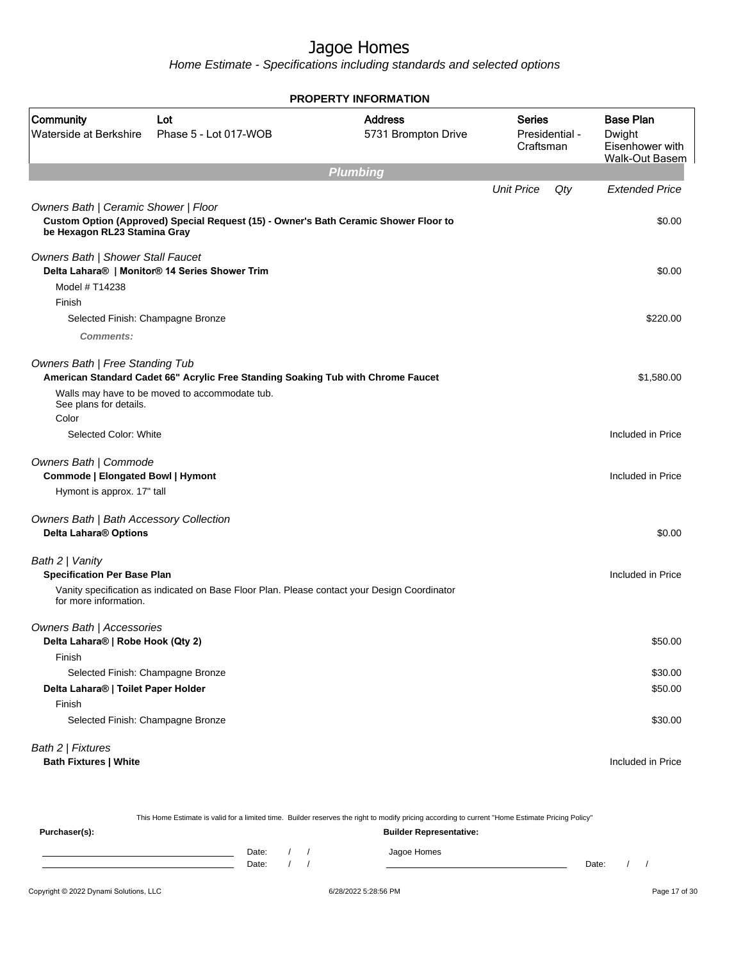Home Estimate - Specifications including standards and selected options

|                                                                                |                                                                                              | PROPERTY INFORMATION                  |                                              |     |                                                                        |
|--------------------------------------------------------------------------------|----------------------------------------------------------------------------------------------|---------------------------------------|----------------------------------------------|-----|------------------------------------------------------------------------|
| Community<br>Waterside at Berkshire                                            | Lot<br>Phase 5 - Lot 017-WOB                                                                 | <b>Address</b><br>5731 Brompton Drive | <b>Series</b><br>Presidential -<br>Craftsman |     | <b>Base Plan</b><br>Dwight<br>Eisenhower with<br><b>Walk-Out Basem</b> |
|                                                                                |                                                                                              | <b>Plumbing</b>                       |                                              |     |                                                                        |
|                                                                                |                                                                                              |                                       | <b>Unit Price</b>                            | Qty | <b>Extended Price</b>                                                  |
| Owners Bath   Ceramic Shower   Floor<br>be Hexagon RL23 Stamina Gray           | Custom Option (Approved) Special Request (15) - Owner's Bath Ceramic Shower Floor to         |                                       |                                              |     | \$0.00                                                                 |
| Owners Bath   Shower Stall Faucet                                              | Delta Lahara®   Monitor® 14 Series Shower Trim                                               |                                       |                                              |     | \$0.00                                                                 |
| Model # T14238                                                                 |                                                                                              |                                       |                                              |     |                                                                        |
| Finish                                                                         |                                                                                              |                                       |                                              |     |                                                                        |
| Selected Finish: Champagne Bronze                                              |                                                                                              |                                       |                                              |     | \$220.00                                                               |
| <b>Comments:</b>                                                               |                                                                                              |                                       |                                              |     |                                                                        |
| Owners Bath   Free Standing Tub                                                | American Standard Cadet 66" Acrylic Free Standing Soaking Tub with Chrome Faucet             |                                       |                                              |     | \$1,580.00                                                             |
| See plans for details.<br>Color                                                | Walls may have to be moved to accommodate tub.                                               |                                       |                                              |     |                                                                        |
| Selected Color: White                                                          |                                                                                              |                                       |                                              |     | Included in Price                                                      |
| Owners Bath   Commode<br>Commode   Elongated Bowl   Hymont                     |                                                                                              |                                       |                                              |     | Included in Price                                                      |
| Hymont is approx. 17" tall                                                     |                                                                                              |                                       |                                              |     |                                                                        |
| <b>Owners Bath   Bath Accessory Collection</b><br><b>Delta Lahara® Options</b> |                                                                                              |                                       |                                              |     | \$0.00                                                                 |
| Bath 2   Vanity<br><b>Specification Per Base Plan</b>                          |                                                                                              |                                       |                                              |     | Included in Price                                                      |
| for more information.                                                          | Vanity specification as indicated on Base Floor Plan. Please contact your Design Coordinator |                                       |                                              |     |                                                                        |
| Owners Bath   Accessories                                                      |                                                                                              |                                       |                                              |     |                                                                        |
| Delta Lahara®   Robe Hook (Qty 2)                                              |                                                                                              |                                       |                                              |     | \$50.00                                                                |
| Finish                                                                         |                                                                                              |                                       |                                              |     |                                                                        |
| Selected Finish: Champagne Bronze<br>Delta Lahara®   Toilet Paper Holder       |                                                                                              |                                       |                                              |     | \$30.00<br>\$50.00                                                     |
| Finish                                                                         |                                                                                              |                                       |                                              |     |                                                                        |
| Selected Finish: Champagne Bronze                                              |                                                                                              |                                       |                                              |     | \$30.00                                                                |
| Bath 2   Fixtures                                                              |                                                                                              |                                       |                                              |     |                                                                        |
| <b>Bath Fixtures   White</b>                                                   |                                                                                              |                                       |                                              |     | Included in Price                                                      |
|                                                                                |                                                                                              |                                       |                                              |     |                                                                        |

|                                        |                |  | This Home Estimate is valid for a limited time. Builder reserves the right to modify pricing according to current "Home Estimate Pricing Policy" |       |               |
|----------------------------------------|----------------|--|--------------------------------------------------------------------------------------------------------------------------------------------------|-------|---------------|
| Purchaser(s):                          |                |  | <b>Builder Representative:</b>                                                                                                                   |       |               |
|                                        | Date:<br>Date: |  | Jagoe Homes                                                                                                                                      | Date: |               |
| Copyright © 2022 Dynami Solutions, LLC |                |  | 6/28/2022 5:28:56 PM                                                                                                                             |       | Page 17 of 30 |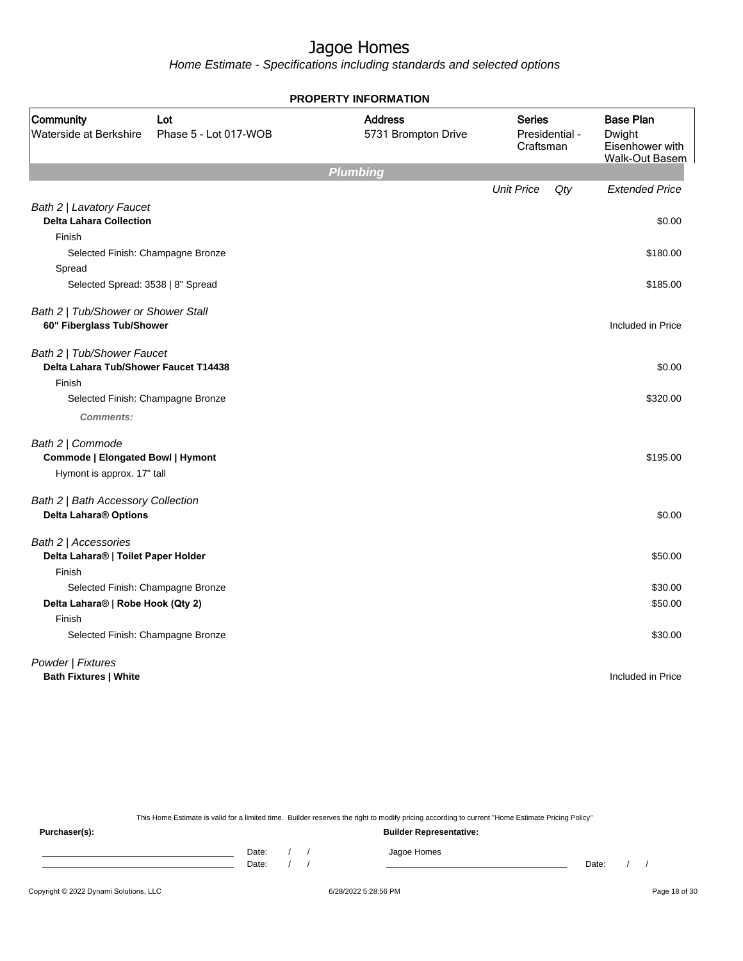Home Estimate - Specifications including standards and selected options

|                                                                                            |                              | <b>PROPERTY INFORMATION</b>           |                            |                |                                                                        |
|--------------------------------------------------------------------------------------------|------------------------------|---------------------------------------|----------------------------|----------------|------------------------------------------------------------------------|
| Community<br>Waterside at Berkshire                                                        | Lot<br>Phase 5 - Lot 017-WOB | <b>Address</b><br>5731 Brompton Drive | <b>Series</b><br>Craftsman | Presidential - | <b>Base Plan</b><br>Dwight<br>Eisenhower with<br><b>Walk-Out Basem</b> |
|                                                                                            |                              | <b>Plumbing</b>                       |                            |                |                                                                        |
| Bath 2   Lavatory Faucet<br><b>Delta Lahara Collection</b>                                 |                              |                                       | <b>Unit Price</b>          | $Q$ ty         | <b>Extended Price</b><br>\$0.00                                        |
| Finish                                                                                     |                              |                                       |                            |                |                                                                        |
| Selected Finish: Champagne Bronze<br>Spread                                                |                              |                                       |                            |                | \$180.00                                                               |
| Selected Spread: 3538   8" Spread                                                          |                              |                                       |                            |                | \$185.00                                                               |
| Bath 2   Tub/Shower or Shower Stall<br>60" Fiberglass Tub/Shower                           |                              |                                       |                            |                | Included in Price                                                      |
| Bath 2   Tub/Shower Faucet<br><b>Delta Lahara Tub/Shower Faucet T14438</b><br>Finish       |                              |                                       |                            |                | \$0.00                                                                 |
| Selected Finish: Champagne Bronze                                                          |                              |                                       |                            |                | \$320.00                                                               |
| <b>Comments:</b>                                                                           |                              |                                       |                            |                |                                                                        |
| Bath 2   Commode<br><b>Commode   Elongated Bowl   Hymont</b><br>Hymont is approx. 17" tall |                              |                                       |                            |                | \$195.00                                                               |
| Bath 2   Bath Accessory Collection<br>Delta Lahara® Options                                |                              |                                       |                            |                | \$0.00                                                                 |
| Bath 2   Accessories<br>Delta Lahara®   Toilet Paper Holder                                |                              |                                       |                            |                | \$50.00                                                                |
| Finish                                                                                     |                              |                                       |                            |                |                                                                        |
| Selected Finish: Champagne Bronze                                                          |                              |                                       |                            |                | \$30.00                                                                |
| Delta Lahara®   Robe Hook (Qty 2)<br>Finish                                                |                              |                                       |                            |                | \$50.00                                                                |
| Selected Finish: Champagne Bronze                                                          |                              |                                       |                            |                | \$30.00                                                                |
| Powder   Fixtures<br><b>Bath Fixtures   White</b>                                          |                              |                                       |                            |                | Included in Price                                                      |

This Home Estimate is valid for a limited time. Builder reserves the right to modify pricing according to current "Home Estimate Pricing Policy"

**Purchaser(s): Builder Representative:** Date: / / Jagoe Homes<br>Date: / / Jagoe Homes Date: / / **Date: / / 2006** Date: / / / Date: / / / Date: / / / 2006 Date: / / / 2006 Date: / / / 2006 Date: / / / 2006 Date: / / / 2007 Date: / / / 2007 Date: / / / 2007 Date: / / / 2007 Date: / / / 2007 Date: / / / 2007 D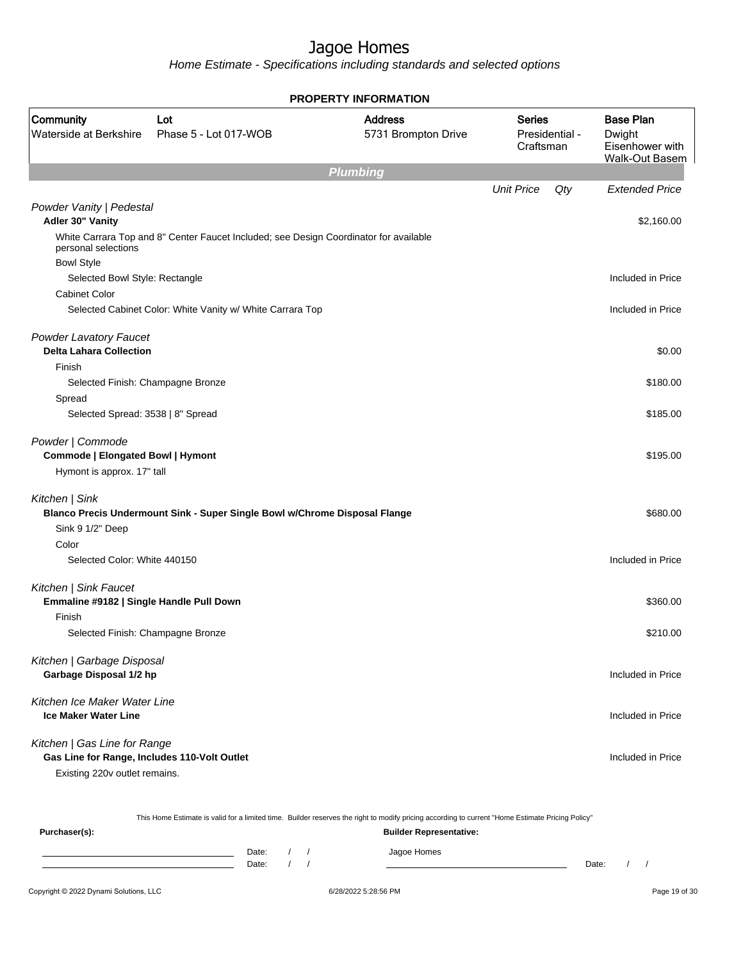Home Estimate - Specifications including standards and selected options

|                                                                              |                                                                                       | <b>PROPERTY INFORMATION</b>           |                            |                |                                                                        |
|------------------------------------------------------------------------------|---------------------------------------------------------------------------------------|---------------------------------------|----------------------------|----------------|------------------------------------------------------------------------|
| <b>Community</b><br>Waterside at Berkshire                                   | Lot<br>Phase 5 - Lot 017-WOB                                                          | <b>Address</b><br>5731 Brompton Drive | <b>Series</b><br>Craftsman | Presidential - | <b>Base Plan</b><br>Dwight<br>Eisenhower with<br><b>Walk-Out Basem</b> |
|                                                                              |                                                                                       | <b>Plumbing</b>                       |                            |                |                                                                        |
|                                                                              |                                                                                       |                                       | <b>Unit Price</b>          | Qty            | <b>Extended Price</b>                                                  |
| Powder Vanity   Pedestal<br>Adler 30" Vanity                                 |                                                                                       |                                       |                            |                | \$2,160.00                                                             |
| personal selections                                                          | White Carrara Top and 8" Center Faucet Included; see Design Coordinator for available |                                       |                            |                |                                                                        |
| <b>Bowl Style</b>                                                            |                                                                                       |                                       |                            |                |                                                                        |
| Selected Bowl Style: Rectangle                                               |                                                                                       |                                       |                            |                | Included in Price                                                      |
| <b>Cabinet Color</b>                                                         |                                                                                       |                                       |                            |                |                                                                        |
|                                                                              | Selected Cabinet Color: White Vanity w/ White Carrara Top                             |                                       |                            |                | Included in Price                                                      |
| <b>Powder Lavatory Faucet</b><br><b>Delta Lahara Collection</b>              |                                                                                       |                                       |                            |                | \$0.00                                                                 |
| Finish                                                                       |                                                                                       |                                       |                            |                |                                                                        |
| Selected Finish: Champagne Bronze                                            |                                                                                       |                                       |                            |                | \$180.00                                                               |
| Spread                                                                       |                                                                                       |                                       |                            |                |                                                                        |
| Selected Spread: 3538   8" Spread                                            |                                                                                       |                                       |                            |                | \$185.00                                                               |
| Powder   Commode                                                             |                                                                                       |                                       |                            |                |                                                                        |
| Commode   Elongated Bowl   Hymont<br>Hymont is approx. 17" tall              |                                                                                       |                                       |                            |                | \$195.00                                                               |
|                                                                              |                                                                                       |                                       |                            |                |                                                                        |
| Kitchen   Sink                                                               |                                                                                       |                                       |                            |                |                                                                        |
|                                                                              | Blanco Precis Undermount Sink - Super Single Bowl w/Chrome Disposal Flange            |                                       |                            |                | \$680.00                                                               |
| Sink 9 1/2" Deep                                                             |                                                                                       |                                       |                            |                |                                                                        |
| Color                                                                        |                                                                                       |                                       |                            |                |                                                                        |
| Selected Color: White 440150                                                 |                                                                                       |                                       |                            |                | Included in Price                                                      |
| Kitchen   Sink Faucet<br>Emmaline #9182   Single Handle Pull Down            |                                                                                       |                                       |                            |                | \$360.00                                                               |
| Finish                                                                       |                                                                                       |                                       |                            |                |                                                                        |
|                                                                              | Selected Finish: Champagne Bronze                                                     |                                       |                            |                | \$210.00                                                               |
|                                                                              |                                                                                       |                                       |                            |                |                                                                        |
| Kitchen   Garbage Disposal                                                   |                                                                                       |                                       |                            |                |                                                                        |
| Garbage Disposal 1/2 hp                                                      |                                                                                       |                                       |                            |                | Included in Price                                                      |
| Kitchen Ice Maker Water Line<br><b>Ice Maker Water Line</b>                  |                                                                                       |                                       |                            |                | Included in Price                                                      |
|                                                                              |                                                                                       |                                       |                            |                |                                                                        |
| Kitchen   Gas Line for Range<br>Gas Line for Range, Includes 110-Volt Outlet |                                                                                       |                                       |                            |                | Included in Price                                                      |
| Existing 220v outlet remains.                                                |                                                                                       |                                       |                            |                |                                                                        |
|                                                                              |                                                                                       |                                       |                            |                |                                                                        |

This Home Estimate is valid for a limited time. Builder reserves the right to modify pricing according to current "Home Estimate Pricing Policy"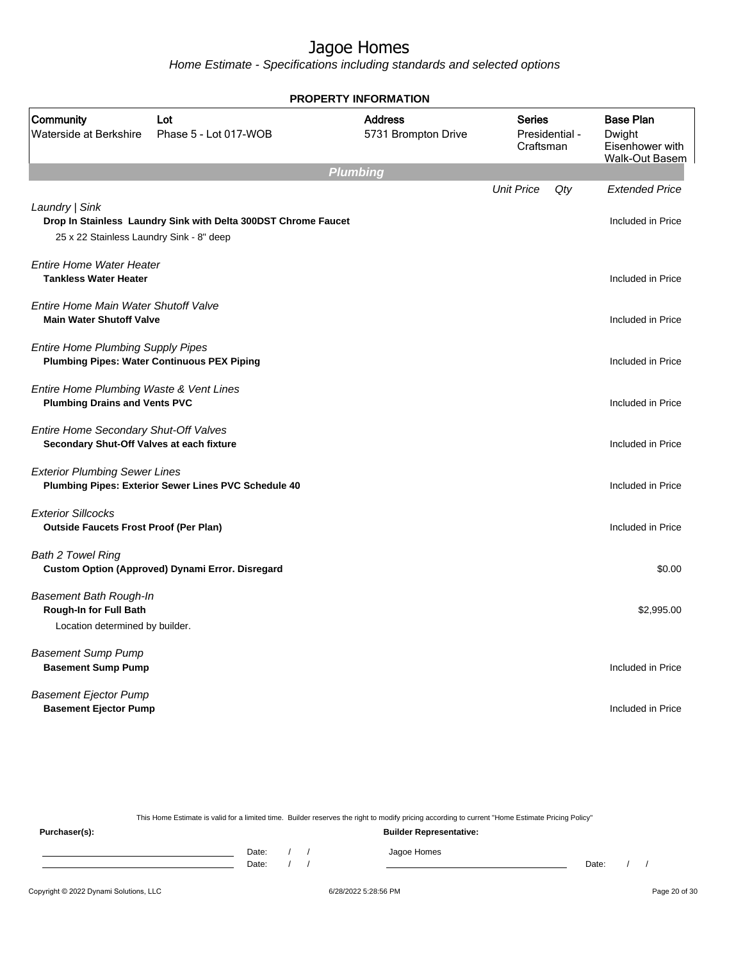Home Estimate - Specifications including standards and selected options

|                                                                                            |                                                                | <b>PROPERTY INFORMATION</b>           |                                              |     |                                                                        |
|--------------------------------------------------------------------------------------------|----------------------------------------------------------------|---------------------------------------|----------------------------------------------|-----|------------------------------------------------------------------------|
| Community<br>Waterside at Berkshire                                                        | Lot<br>Phase 5 - Lot 017-WOB                                   | <b>Address</b><br>5731 Brompton Drive | <b>Series</b><br>Presidential -<br>Craftsman |     | <b>Base Plan</b><br>Dwight<br>Eisenhower with<br><b>Walk-Out Basem</b> |
|                                                                                            |                                                                | <b>Plumbing</b>                       |                                              |     |                                                                        |
| Laundry   Sink<br>25 x 22 Stainless Laundry Sink - 8" deep                                 | Drop In Stainless Laundry Sink with Delta 300DST Chrome Faucet |                                       | <b>Unit Price</b>                            | Qty | <b>Extended Price</b><br>Included in Price                             |
| <b>Entire Home Water Heater</b><br><b>Tankless Water Heater</b>                            |                                                                |                                       |                                              |     | Included in Price                                                      |
| Entire Home Main Water Shutoff Valve<br><b>Main Water Shutoff Valve</b>                    |                                                                |                                       |                                              |     | Included in Price                                                      |
| <b>Entire Home Plumbing Supply Pipes</b>                                                   | <b>Plumbing Pipes: Water Continuous PEX Piping</b>             |                                       |                                              |     | Included in Price                                                      |
| Entire Home Plumbing Waste & Vent Lines<br><b>Plumbing Drains and Vents PVC</b>            |                                                                |                                       |                                              |     | Included in Price                                                      |
| Entire Home Secondary Shut-Off Valves<br>Secondary Shut-Off Valves at each fixture         |                                                                |                                       |                                              |     | Included in Price                                                      |
| <b>Exterior Plumbing Sewer Lines</b>                                                       | Plumbing Pipes: Exterior Sewer Lines PVC Schedule 40           |                                       |                                              |     | Included in Price                                                      |
| <b>Exterior Sillcocks</b><br><b>Outside Faucets Frost Proof (Per Plan)</b>                 |                                                                |                                       |                                              |     | Included in Price                                                      |
| <b>Bath 2 Towel Ring</b>                                                                   | Custom Option (Approved) Dynami Error. Disregard               |                                       |                                              |     | \$0.00                                                                 |
| <b>Basement Bath Rough-In</b><br>Rough-In for Full Bath<br>Location determined by builder. |                                                                |                                       |                                              |     | \$2,995.00                                                             |
| <b>Basement Sump Pump</b><br><b>Basement Sump Pump</b>                                     |                                                                |                                       |                                              |     | Included in Price                                                      |
| <b>Basement Ejector Pump</b><br><b>Basement Ejector Pump</b>                               |                                                                |                                       |                                              |     | Included in Price                                                      |

This Home Estimate is valid for a limited time. Builder reserves the right to modify pricing according to current "Home Estimate Pricing Policy" **Purchaser(s): Builder Representative:** Date: / / Jagoe Homes<br>Date: / / Jagoe Homes Date: / / Date: / /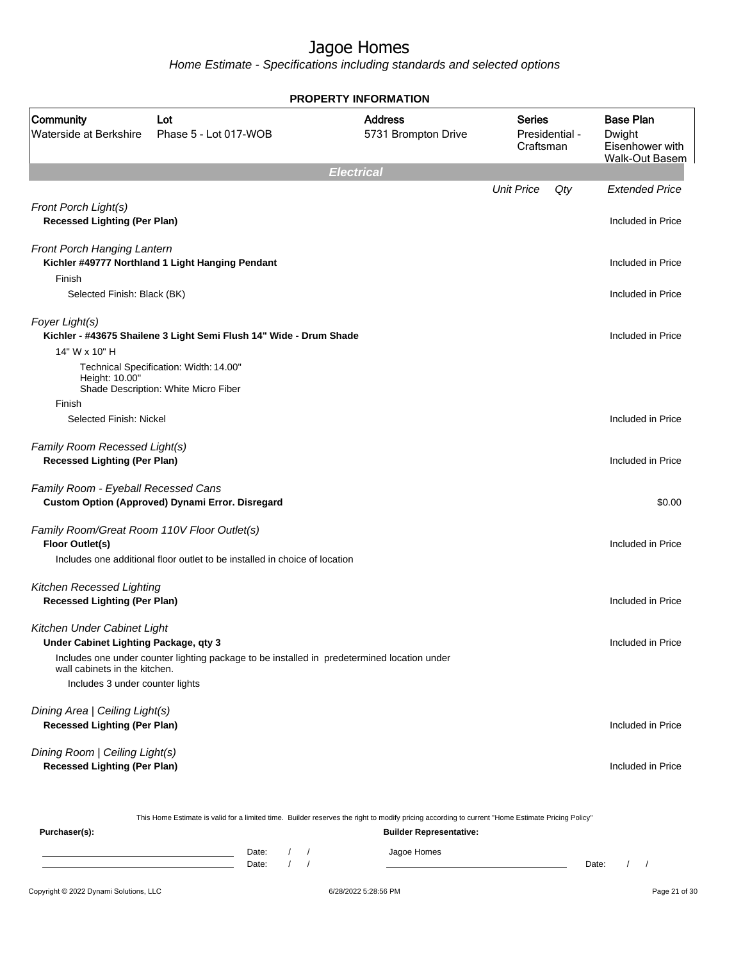Home Estimate - Specifications including standards and selected options

|                                                                       |                                                                                             | <b>PROPERTY INFORMATION</b>           |                            |                |                                                                        |
|-----------------------------------------------------------------------|---------------------------------------------------------------------------------------------|---------------------------------------|----------------------------|----------------|------------------------------------------------------------------------|
| Community<br>Waterside at Berkshire                                   | Lot<br>Phase 5 - Lot 017-WOB                                                                | <b>Address</b><br>5731 Brompton Drive | <b>Series</b><br>Craftsman | Presidential - | <b>Base Plan</b><br>Dwight<br>Eisenhower with<br><b>Walk-Out Basem</b> |
|                                                                       |                                                                                             | <b>Electrical</b>                     |                            |                |                                                                        |
|                                                                       |                                                                                             |                                       | <b>Unit Price</b>          | Qty            | <b>Extended Price</b>                                                  |
| Front Porch Light(s)<br><b>Recessed Lighting (Per Plan)</b>           |                                                                                             |                                       |                            |                | Included in Price                                                      |
| Front Porch Hanging Lantern                                           | Kichler #49777 Northland 1 Light Hanging Pendant                                            |                                       |                            |                | Included in Price                                                      |
| Finish                                                                |                                                                                             |                                       |                            |                |                                                                        |
| Selected Finish: Black (BK)                                           |                                                                                             |                                       |                            |                | Included in Price                                                      |
| Foyer Light(s)                                                        | Kichler - #43675 Shailene 3 Light Semi Flush 14" Wide - Drum Shade                          |                                       |                            |                | Included in Price                                                      |
| 14" W x 10" H                                                         |                                                                                             |                                       |                            |                |                                                                        |
| Height: 10.00"                                                        | Technical Specification: Width: 14.00"<br>Shade Description: White Micro Fiber              |                                       |                            |                |                                                                        |
| Finish                                                                |                                                                                             |                                       |                            |                |                                                                        |
| Selected Finish: Nickel                                               |                                                                                             |                                       |                            |                | Included in Price                                                      |
| Family Room Recessed Light(s)<br><b>Recessed Lighting (Per Plan)</b>  |                                                                                             |                                       |                            |                | Included in Price                                                      |
| Family Room - Eyeball Recessed Cans                                   | Custom Option (Approved) Dynami Error. Disregard                                            |                                       |                            |                | \$0.00                                                                 |
| Family Room/Great Room 110V Floor Outlet(s)<br><b>Floor Outlet(s)</b> |                                                                                             |                                       |                            |                | Included in Price                                                      |
|                                                                       | Includes one additional floor outlet to be installed in choice of location                  |                                       |                            |                |                                                                        |
| Kitchen Recessed Lighting<br><b>Recessed Lighting (Per Plan)</b>      |                                                                                             |                                       |                            |                | Included in Price                                                      |
|                                                                       |                                                                                             |                                       |                            |                |                                                                        |
| Kitchen Under Cabinet Light<br>Under Cabinet Lighting Package, qty 3  |                                                                                             |                                       |                            |                | Included in Price                                                      |
| wall cabinets in the kitchen.                                         | Includes one under counter lighting package to be installed in predetermined location under |                                       |                            |                |                                                                        |
| Includes 3 under counter lights                                       |                                                                                             |                                       |                            |                |                                                                        |
| Dining Area   Ceiling Light(s)<br><b>Recessed Lighting (Per Plan)</b> |                                                                                             |                                       |                            |                | Included in Price                                                      |
|                                                                       |                                                                                             |                                       |                            |                |                                                                        |
| Dining Room   Ceiling Light(s)<br><b>Recessed Lighting (Per Plan)</b> |                                                                                             |                                       |                            |                | Included in Price                                                      |
|                                                                       |                                                                                             |                                       |                            |                |                                                                        |

This Home Estimate is valid for a limited time. Builder reserves the right to modify pricing according to current "Home Estimate Pricing Policy"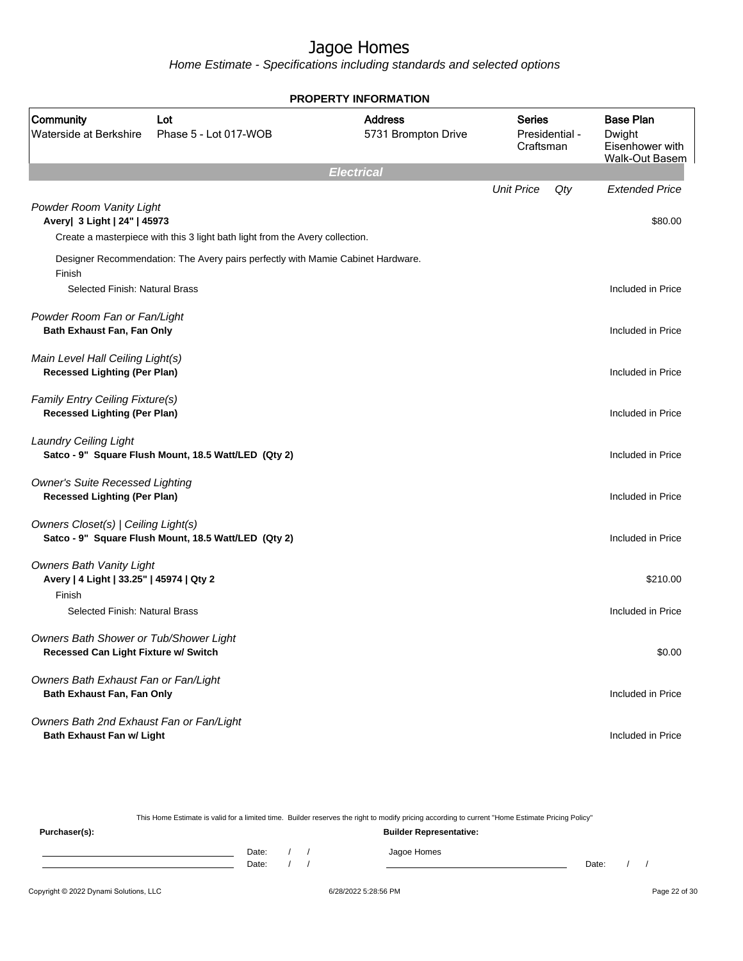Home Estimate - Specifications including standards and selected options

|                                                                                                                         |                                                                                 | <b>PROPERTY INFORMATION</b>           |                     |                |                                                                        |
|-------------------------------------------------------------------------------------------------------------------------|---------------------------------------------------------------------------------|---------------------------------------|---------------------|----------------|------------------------------------------------------------------------|
| Community<br>Waterside at Berkshire                                                                                     | Lot<br>Phase 5 - Lot 017-WOB                                                    | <b>Address</b><br>5731 Brompton Drive | Series<br>Craftsman | Presidential - | <b>Base Plan</b><br>Dwight<br>Eisenhower with<br><b>Walk-Out Basem</b> |
|                                                                                                                         |                                                                                 | <b>Electrical</b>                     |                     |                |                                                                        |
| Powder Room Vanity Light<br>Avery  3 Light   24"   45973                                                                | Create a masterpiece with this 3 light bath light from the Avery collection.    |                                       | <b>Unit Price</b>   | Qty            | <b>Extended Price</b><br>\$80.00                                       |
| Finish<br>Selected Finish: Natural Brass                                                                                | Designer Recommendation: The Avery pairs perfectly with Mamie Cabinet Hardware. |                                       |                     |                | Included in Price                                                      |
| Powder Room Fan or Fan/Light<br><b>Bath Exhaust Fan, Fan Only</b>                                                       |                                                                                 |                                       |                     |                | Included in Price                                                      |
| Main Level Hall Ceiling Light(s)<br><b>Recessed Lighting (Per Plan)</b>                                                 |                                                                                 |                                       |                     |                | Included in Price                                                      |
| <b>Family Entry Ceiling Fixture(s)</b><br><b>Recessed Lighting (Per Plan)</b>                                           |                                                                                 |                                       |                     |                | Included in Price                                                      |
| <b>Laundry Ceiling Light</b>                                                                                            | Satco - 9" Square Flush Mount, 18.5 Watt/LED (Qty 2)                            |                                       |                     |                | Included in Price                                                      |
| <b>Owner's Suite Recessed Lighting</b><br><b>Recessed Lighting (Per Plan)</b>                                           |                                                                                 |                                       |                     |                | Included in Price                                                      |
| Owners Closet(s)   Ceiling Light(s)                                                                                     | Satco - 9" Square Flush Mount, 18.5 Watt/LED (Qty 2)                            |                                       |                     |                | Included in Price                                                      |
| <b>Owners Bath Vanity Light</b><br>Avery   4 Light   33.25"   45974   Qty 2<br>Finish<br>Selected Finish: Natural Brass |                                                                                 |                                       |                     |                | \$210.00<br>Included in Price                                          |
| Owners Bath Shower or Tub/Shower Light<br>Recessed Can Light Fixture w/ Switch                                          |                                                                                 |                                       |                     |                | \$0.00                                                                 |
| Owners Bath Exhaust Fan or Fan/Light<br>Bath Exhaust Fan, Fan Only                                                      |                                                                                 |                                       |                     |                | Included in Price                                                      |
| Owners Bath 2nd Exhaust Fan or Fan/Light<br>Bath Exhaust Fan w/ Light                                                   |                                                                                 |                                       |                     |                | Included in Price                                                      |

This Home Estimate is valid for a limited time. Builder reserves the right to modify pricing according to current "Home Estimate Pricing Policy" **Purchaser(s): Builder Representative:** Date: / / Jagoe Homes<br>Date: / / Jagoe Homes Date: / / **Date: / / 2006** Date: / / / Date: / / / Date: / / / 2006 Date: / / / 2006 Date: / / / 2006 Date: / / / 2006 Date: / / / 2007 Date: / / / 2007 Date: / / / 2007 Date: / / / 2007 Date: / / / 2007 Date: / / / 2007 D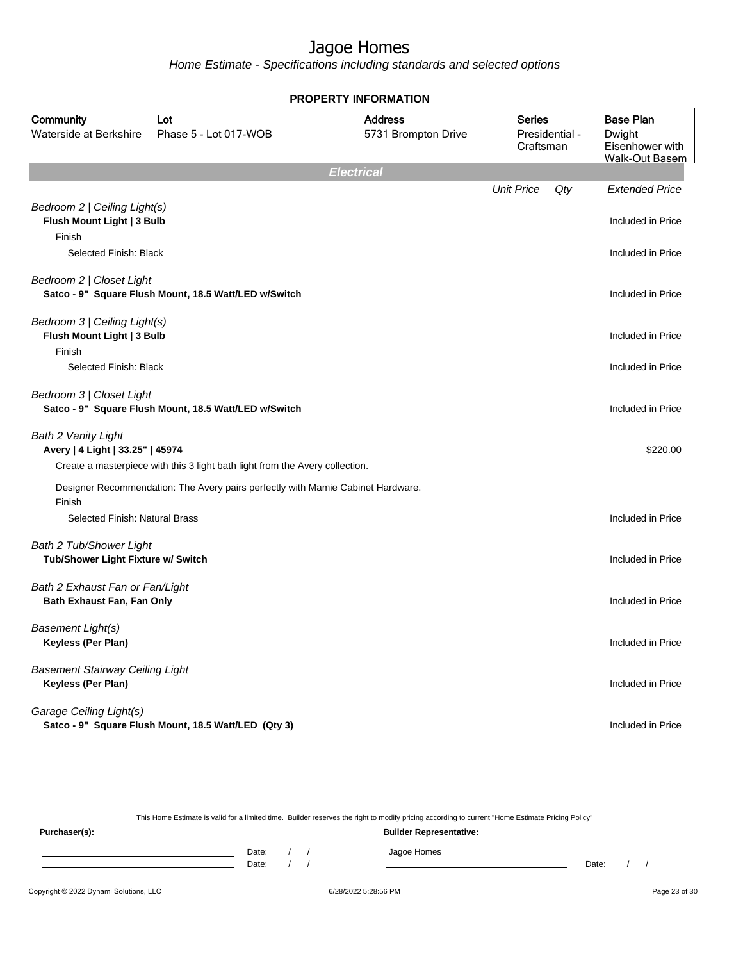Home Estimate - Specifications including standards and selected options

|                                                                      |                                                                                 | <b>PROPERTY INFORMATION</b>           |                            |                |                                                                        |
|----------------------------------------------------------------------|---------------------------------------------------------------------------------|---------------------------------------|----------------------------|----------------|------------------------------------------------------------------------|
| Community<br>Waterside at Berkshire                                  | Lot<br>Phase 5 - Lot 017-WOB                                                    | <b>Address</b><br>5731 Brompton Drive | <b>Series</b><br>Craftsman | Presidential - | <b>Base Plan</b><br>Dwight<br>Eisenhower with<br><b>Walk-Out Basem</b> |
|                                                                      |                                                                                 | <b>Electrical</b>                     |                            |                |                                                                        |
| Bedroom 2   Ceiling Light(s)<br>Flush Mount Light   3 Bulb           |                                                                                 |                                       | <b>Unit Price</b>          | Qty            | <b>Extended Price</b><br>Included in Price                             |
| Finish<br>Selected Finish: Black                                     |                                                                                 |                                       |                            |                | Included in Price                                                      |
| Bedroom 2   Closet Light                                             | Satco - 9" Square Flush Mount, 18.5 Watt/LED w/Switch                           |                                       |                            |                | Included in Price                                                      |
| Bedroom 3   Ceiling Light(s)<br>Flush Mount Light   3 Bulb<br>Finish |                                                                                 |                                       |                            |                | Included in Price                                                      |
| Selected Finish: Black                                               |                                                                                 |                                       |                            |                | Included in Price                                                      |
| Bedroom 3   Closet Light                                             | Satco - 9" Square Flush Mount, 18.5 Watt/LED w/Switch                           |                                       |                            |                | Included in Price                                                      |
| <b>Bath 2 Vanity Light</b><br>Avery   4 Light   33.25"   45974       | Create a masterpiece with this 3 light bath light from the Avery collection.    |                                       |                            |                | \$220.00                                                               |
| Finish                                                               | Designer Recommendation: The Avery pairs perfectly with Mamie Cabinet Hardware. |                                       |                            |                |                                                                        |
| Selected Finish: Natural Brass                                       |                                                                                 |                                       |                            |                | Included in Price                                                      |
| <b>Bath 2 Tub/Shower Light</b><br>Tub/Shower Light Fixture w/ Switch |                                                                                 |                                       |                            |                | Included in Price                                                      |
| Bath 2 Exhaust Fan or Fan/Light<br>Bath Exhaust Fan, Fan Only        |                                                                                 |                                       |                            |                | Included in Price                                                      |
| <b>Basement Light(s)</b><br>Keyless (Per Plan)                       |                                                                                 |                                       |                            |                | Included in Price                                                      |
| <b>Basement Stairway Ceiling Light</b><br>Keyless (Per Plan)         |                                                                                 |                                       |                            |                | Included in Price                                                      |
| Garage Ceiling Light(s)                                              | Satco - 9" Square Flush Mount, 18.5 Watt/LED (Qty 3)                            |                                       |                            |                | Included in Price                                                      |

This Home Estimate is valid for a limited time. Builder reserves the right to modify pricing according to current "Home Estimate Pricing Policy"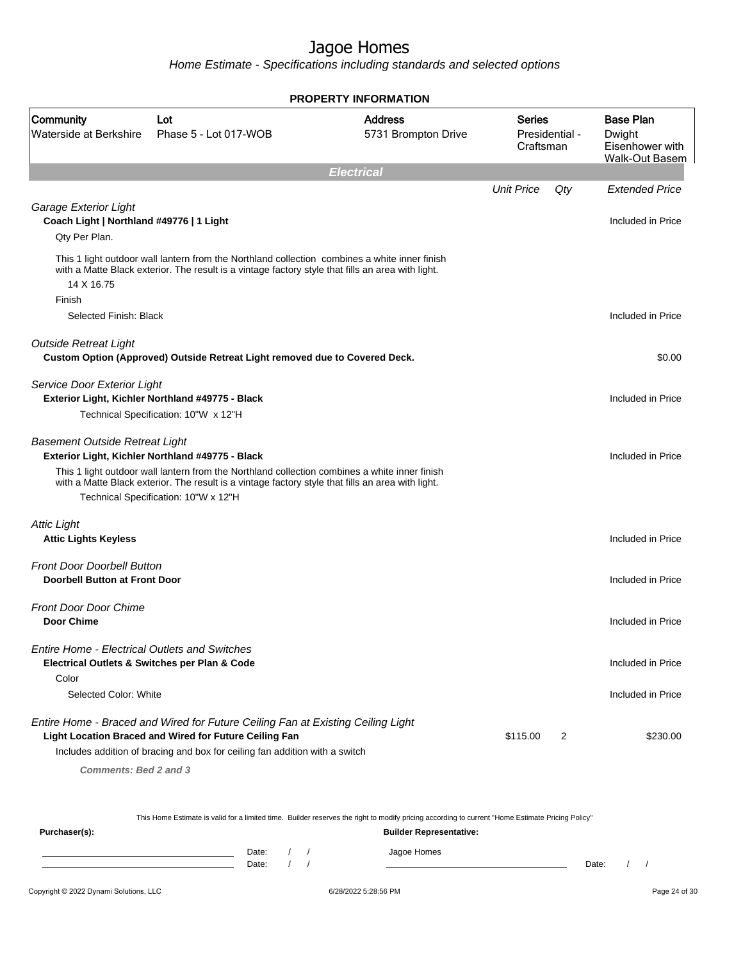Home Estimate - Specifications including standards and selected options

|                                                                           |                                                                                                                                                                                                    | <b>PROPERTY INFORMATION</b>           |                     |                |                                                                        |
|---------------------------------------------------------------------------|----------------------------------------------------------------------------------------------------------------------------------------------------------------------------------------------------|---------------------------------------|---------------------|----------------|------------------------------------------------------------------------|
| Community<br>Waterside at Berkshire                                       | Lot<br>Phase 5 - Lot 017-WOB                                                                                                                                                                       | <b>Address</b><br>5731 Brompton Drive | Series<br>Craftsman | Presidential - | <b>Base Plan</b><br>Dwight<br>Eisenhower with<br><b>Walk-Out Basem</b> |
|                                                                           |                                                                                                                                                                                                    | <b>Electrical</b>                     |                     |                |                                                                        |
|                                                                           |                                                                                                                                                                                                    |                                       | <b>Unit Price</b>   | Qty            | <b>Extended Price</b>                                                  |
| Garage Exterior Light<br>Coach Light   Northland #49776   1 Light         |                                                                                                                                                                                                    |                                       |                     |                | Included in Price                                                      |
| Qty Per Plan.                                                             |                                                                                                                                                                                                    |                                       |                     |                |                                                                        |
| 14 X 16.75                                                                | This 1 light outdoor wall lantern from the Northland collection combines a white inner finish<br>with a Matte Black exterior. The result is a vintage factory style that fills an area with light. |                                       |                     |                |                                                                        |
| Finish                                                                    |                                                                                                                                                                                                    |                                       |                     |                |                                                                        |
| Selected Finish: Black                                                    |                                                                                                                                                                                                    |                                       |                     |                | Included in Price                                                      |
| <b>Outside Retreat Light</b>                                              |                                                                                                                                                                                                    |                                       |                     |                |                                                                        |
|                                                                           | Custom Option (Approved) Outside Retreat Light removed due to Covered Deck.                                                                                                                        |                                       |                     |                | \$0.00                                                                 |
| Service Door Exterior Light                                               |                                                                                                                                                                                                    |                                       |                     |                |                                                                        |
|                                                                           | Exterior Light, Kichler Northland #49775 - Black                                                                                                                                                   |                                       |                     |                | Included in Price                                                      |
|                                                                           | Technical Specification: 10"W x 12"H                                                                                                                                                               |                                       |                     |                |                                                                        |
| <b>Basement Outside Retreat Light</b>                                     |                                                                                                                                                                                                    |                                       |                     |                |                                                                        |
|                                                                           | Exterior Light, Kichler Northland #49775 - Black                                                                                                                                                   |                                       |                     |                | Included in Price                                                      |
|                                                                           | This 1 light outdoor wall lantern from the Northland collection combines a white inner finish<br>with a Matte Black exterior. The result is a vintage factory style that fills an area with light. |                                       |                     |                |                                                                        |
|                                                                           | Technical Specification: 10"W x 12"H                                                                                                                                                               |                                       |                     |                |                                                                        |
| <b>Attic Light</b><br><b>Attic Lights Keyless</b>                         |                                                                                                                                                                                                    |                                       |                     |                | Included in Price                                                      |
|                                                                           |                                                                                                                                                                                                    |                                       |                     |                |                                                                        |
| <b>Front Door Doorbell Button</b><br><b>Doorbell Button at Front Door</b> |                                                                                                                                                                                                    |                                       |                     |                | Included in Price                                                      |
|                                                                           |                                                                                                                                                                                                    |                                       |                     |                |                                                                        |
| <b>Front Door Door Chime</b>                                              |                                                                                                                                                                                                    |                                       |                     |                |                                                                        |
| <b>Door Chime</b>                                                         |                                                                                                                                                                                                    |                                       |                     |                | Included in Price                                                      |
| <b>Entire Home - Electrical Outlets and Switches</b>                      |                                                                                                                                                                                                    |                                       |                     |                |                                                                        |
|                                                                           | Electrical Outlets & Switches per Plan & Code                                                                                                                                                      |                                       |                     |                | Included in Price                                                      |
| Color                                                                     |                                                                                                                                                                                                    |                                       |                     |                |                                                                        |
| Selected Color: White                                                     |                                                                                                                                                                                                    |                                       |                     |                | Included in Price                                                      |
|                                                                           | Entire Home - Braced and Wired for Future Ceiling Fan at Existing Ceiling Light<br>Light Location Braced and Wired for Future Ceiling Fan                                                          |                                       | \$115.00            | 2              | \$230.00                                                               |
|                                                                           | Includes addition of bracing and box for ceiling fan addition with a switch                                                                                                                        |                                       |                     |                |                                                                        |
| Comments: Bed 2 and 3                                                     |                                                                                                                                                                                                    |                                       |                     |                |                                                                        |
|                                                                           |                                                                                                                                                                                                    |                                       |                     |                |                                                                        |
|                                                                           |                                                                                                                                                                                                    |                                       |                     |                |                                                                        |

This Home Estimate is valid for a limited time. Builder reserves the right to modify pricing according to current "Home Estimate Pricing Policy"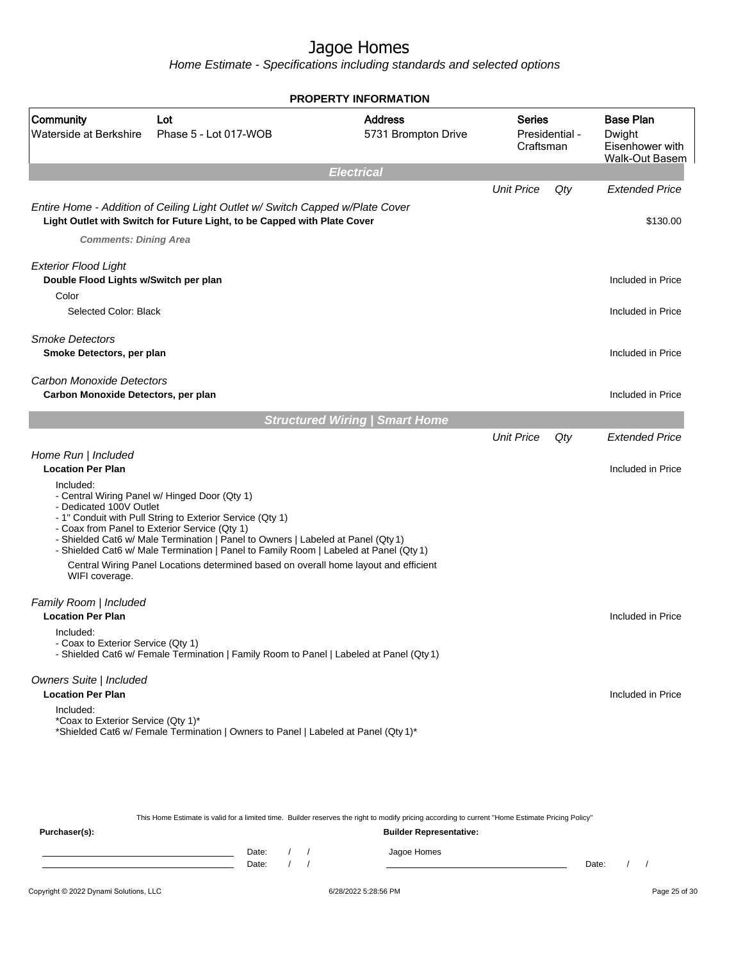Home Estimate - Specifications including standards and selected options

|                                                                               |                                                                                                                                                                                                                                                                                                                                                                                                                                  | <b>PROPERTY INFORMATION</b>           |                            |                |                                                                        |
|-------------------------------------------------------------------------------|----------------------------------------------------------------------------------------------------------------------------------------------------------------------------------------------------------------------------------------------------------------------------------------------------------------------------------------------------------------------------------------------------------------------------------|---------------------------------------|----------------------------|----------------|------------------------------------------------------------------------|
| Community<br>Waterside at Berkshire                                           | Lot<br>Phase 5 - Lot 017-WOB                                                                                                                                                                                                                                                                                                                                                                                                     | <b>Address</b><br>5731 Brompton Drive | <b>Series</b><br>Craftsman | Presidential - | <b>Base Plan</b><br>Dwight<br>Eisenhower with<br><b>Walk-Out Basem</b> |
|                                                                               |                                                                                                                                                                                                                                                                                                                                                                                                                                  | <b>Electrical</b>                     |                            |                |                                                                        |
|                                                                               | Entire Home - Addition of Ceiling Light Outlet w/ Switch Capped w/Plate Cover<br>Light Outlet with Switch for Future Light, to be Capped with Plate Cover                                                                                                                                                                                                                                                                        |                                       | <b>Unit Price</b>          | Qty            | <b>Extended Price</b><br>\$130.00                                      |
| <b>Comments: Dining Area</b>                                                  |                                                                                                                                                                                                                                                                                                                                                                                                                                  |                                       |                            |                |                                                                        |
| <b>Exterior Flood Light</b><br>Double Flood Lights w/Switch per plan<br>Color |                                                                                                                                                                                                                                                                                                                                                                                                                                  |                                       |                            |                | Included in Price                                                      |
| Selected Color: Black                                                         |                                                                                                                                                                                                                                                                                                                                                                                                                                  |                                       |                            |                | Included in Price                                                      |
| <b>Smoke Detectors</b><br>Smoke Detectors, per plan                           |                                                                                                                                                                                                                                                                                                                                                                                                                                  |                                       |                            |                | Included in Price                                                      |
| Carbon Monoxide Detectors<br>Carbon Monoxide Detectors, per plan              |                                                                                                                                                                                                                                                                                                                                                                                                                                  |                                       |                            |                | Included in Price                                                      |
|                                                                               |                                                                                                                                                                                                                                                                                                                                                                                                                                  | <b>Structured Wiring   Smart Home</b> |                            |                |                                                                        |
| Home Run   Included                                                           |                                                                                                                                                                                                                                                                                                                                                                                                                                  |                                       | <b>Unit Price</b>          | Qty            | <b>Extended Price</b>                                                  |
| <b>Location Per Plan</b>                                                      |                                                                                                                                                                                                                                                                                                                                                                                                                                  |                                       |                            |                | Included in Price                                                      |
| Included:<br>- Dedicated 100V Outlet<br>WIFI coverage.                        | - Central Wiring Panel w/ Hinged Door (Qty 1)<br>- 1" Conduit with Pull String to Exterior Service (Qty 1)<br>- Coax from Panel to Exterior Service (Qty 1)<br>- Shielded Cat6 w/ Male Termination   Panel to Owners   Labeled at Panel (Qty 1)<br>- Shielded Cat6 w/ Male Termination   Panel to Family Room   Labeled at Panel (Qty 1)<br>Central Wiring Panel Locations determined based on overall home layout and efficient |                                       |                            |                |                                                                        |
| Family Room   Included<br><b>Location Per Plan</b>                            |                                                                                                                                                                                                                                                                                                                                                                                                                                  |                                       |                            |                | Included in Price                                                      |
| Included:<br>- Coax to Exterior Service (Qty 1)                               | - Shielded Cat6 w/ Female Termination   Family Room to Panel   Labeled at Panel (Qty 1)                                                                                                                                                                                                                                                                                                                                          |                                       |                            |                |                                                                        |
| Owners Suite   Included<br><b>Location Per Plan</b>                           |                                                                                                                                                                                                                                                                                                                                                                                                                                  |                                       |                            |                | Included in Price                                                      |
| Included:<br>*Coax to Exterior Service (Qty 1)*                               | *Shielded Cat6 w/ Female Termination   Owners to Panel   Labeled at Panel (Qty 1)*                                                                                                                                                                                                                                                                                                                                               |                                       |                            |                |                                                                        |
|                                                                               |                                                                                                                                                                                                                                                                                                                                                                                                                                  |                                       |                            |                |                                                                        |

This Home Estimate is valid for a limited time. Builder reserves the right to modify pricing according to current "Home Estimate Pricing Policy"

**Purchaser(s): Builder Representative:** Date: / / Jagoe Homes<br>Date: / / Jagoe Homes Date: / / **Date: / / 2006** Date: / / / Date: / / / Date: / / / 2006 Date: / / / 2006 Date: / / / 2006 Date: / / / 2006 Date: / / / 2007 Date: / / / 2007 Date: / / / 2007 Date: / / / 2007 Date: / / / 2007 Date: / / / 2007 D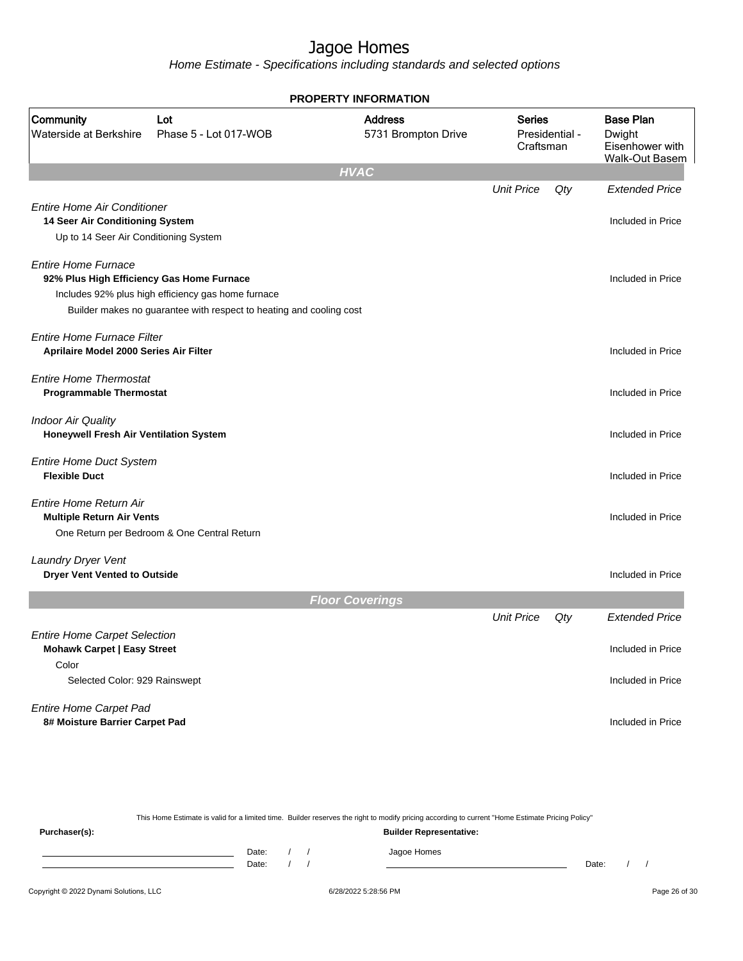Home Estimate - Specifications including standards and selected options

|                                                                                                                |                                                                                                                           | <b>PROPERTY INFORMATION</b>           |                            |                |                                                                        |
|----------------------------------------------------------------------------------------------------------------|---------------------------------------------------------------------------------------------------------------------------|---------------------------------------|----------------------------|----------------|------------------------------------------------------------------------|
| Community<br>Waterside at Berkshire                                                                            | Lot<br>Phase 5 - Lot 017-WOB                                                                                              | <b>Address</b><br>5731 Brompton Drive | <b>Series</b><br>Craftsman | Presidential - | <b>Base Plan</b><br>Dwight<br>Eisenhower with<br><b>Walk-Out Basem</b> |
|                                                                                                                |                                                                                                                           | <b>HVAC</b>                           |                            |                |                                                                        |
|                                                                                                                |                                                                                                                           |                                       | <b>Unit Price</b>          | Qty            | <b>Extended Price</b>                                                  |
| <b>Entire Home Air Conditioner</b><br>14 Seer Air Conditioning System<br>Up to 14 Seer Air Conditioning System |                                                                                                                           |                                       |                            |                | Included in Price                                                      |
| <b>Entire Home Furnace</b><br>92% Plus High Efficiency Gas Home Furnace                                        | Includes 92% plus high efficiency gas home furnace<br>Builder makes no guarantee with respect to heating and cooling cost |                                       |                            |                | Included in Price                                                      |
| Entire Home Furnace Filter<br>Aprilaire Model 2000 Series Air Filter                                           |                                                                                                                           |                                       |                            |                | Included in Price                                                      |
| <b>Entire Home Thermostat</b><br><b>Programmable Thermostat</b>                                                |                                                                                                                           |                                       |                            |                | Included in Price                                                      |
| <b>Indoor Air Quality</b><br>Honeywell Fresh Air Ventilation System                                            |                                                                                                                           |                                       |                            |                | Included in Price                                                      |
| <b>Entire Home Duct System</b><br><b>Flexible Duct</b>                                                         |                                                                                                                           |                                       |                            |                | Included in Price                                                      |
| Entire Home Return Air<br><b>Multiple Return Air Vents</b>                                                     | One Return per Bedroom & One Central Return                                                                               |                                       |                            |                | Included in Price                                                      |
|                                                                                                                |                                                                                                                           |                                       |                            |                |                                                                        |
| Laundry Dryer Vent<br><b>Dryer Vent Vented to Outside</b>                                                      |                                                                                                                           |                                       |                            |                | Included in Price                                                      |
|                                                                                                                |                                                                                                                           | <b>Floor Coverings</b>                |                            |                |                                                                        |
|                                                                                                                |                                                                                                                           |                                       | <b>Unit Price</b>          | Qty            | <b>Extended Price</b>                                                  |
| <b>Entire Home Carpet Selection</b><br><b>Mohawk Carpet   Easy Street</b><br>Color                             |                                                                                                                           |                                       |                            |                | Included in Price                                                      |
| Selected Color: 929 Rainswept                                                                                  |                                                                                                                           |                                       |                            |                | Included in Price                                                      |
| <b>Entire Home Carpet Pad</b><br>8# Moisture Barrier Carpet Pad                                                |                                                                                                                           |                                       |                            |                | Included in Price                                                      |

This Home Estimate is valid for a limited time. Builder reserves the right to modify pricing according to current "Home Estimate Pricing Policy" **Purchaser(s): Builder Representative:** Date: / / Jagoe Homes<br>Date: / / Jagoe Homes Date: / / Date: / /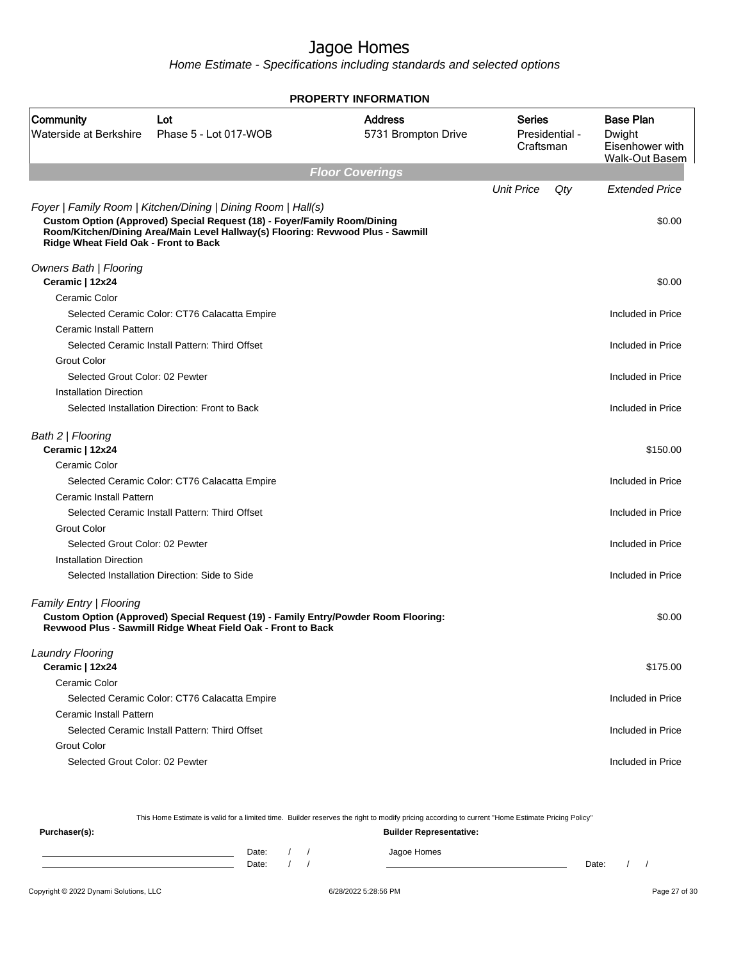Home Estimate - Specifications including standards and selected options

|                                                       |                                                                                                                                                                                                                             | <b>PROPERTY INFORMATION</b>           |                                              |                                                                        |
|-------------------------------------------------------|-----------------------------------------------------------------------------------------------------------------------------------------------------------------------------------------------------------------------------|---------------------------------------|----------------------------------------------|------------------------------------------------------------------------|
| Community<br>Waterside at Berkshire                   | Lot<br>Phase 5 - Lot 017-WOB                                                                                                                                                                                                | <b>Address</b><br>5731 Brompton Drive | <b>Series</b><br>Presidential -<br>Craftsman | <b>Base Plan</b><br>Dwight<br>Eisenhower with<br><b>Walk-Out Basem</b> |
|                                                       |                                                                                                                                                                                                                             | <b>Floor Coverings</b>                |                                              |                                                                        |
| Ridge Wheat Field Oak - Front to Back                 | Foyer   Family Room   Kitchen/Dining   Dining Room   Hall(s)<br>Custom Option (Approved) Special Request (18) - Foyer/Family Room/Dining<br>Room/Kitchen/Dining Area/Main Level Hallway(s) Flooring: Revwood Plus - Sawmill |                                       | <b>Unit Price</b><br>Qty                     | <b>Extended Price</b><br>\$0.00                                        |
| Owners Bath   Flooring                                |                                                                                                                                                                                                                             |                                       |                                              |                                                                        |
| Ceramic   12x24                                       |                                                                                                                                                                                                                             |                                       |                                              | \$0.00                                                                 |
| Ceramic Color                                         |                                                                                                                                                                                                                             |                                       |                                              |                                                                        |
| Ceramic Install Pattern                               | Selected Ceramic Color: CT76 Calacatta Empire                                                                                                                                                                               |                                       |                                              | Included in Price                                                      |
|                                                       | Selected Ceramic Install Pattern: Third Offset                                                                                                                                                                              |                                       |                                              | Included in Price                                                      |
| <b>Grout Color</b><br>Selected Grout Color: 02 Pewter |                                                                                                                                                                                                                             |                                       |                                              | Included in Price                                                      |
| <b>Installation Direction</b>                         |                                                                                                                                                                                                                             |                                       |                                              |                                                                        |
|                                                       | Selected Installation Direction: Front to Back                                                                                                                                                                              |                                       |                                              | Included in Price                                                      |
| Bath 2   Flooring<br>Ceramic   12x24                  |                                                                                                                                                                                                                             |                                       |                                              | \$150.00                                                               |
| Ceramic Color                                         |                                                                                                                                                                                                                             |                                       |                                              |                                                                        |
|                                                       | Selected Ceramic Color: CT76 Calacatta Empire                                                                                                                                                                               |                                       |                                              | Included in Price                                                      |
| <b>Ceramic Install Pattern</b>                        |                                                                                                                                                                                                                             |                                       |                                              |                                                                        |
|                                                       | Selected Ceramic Install Pattern: Third Offset                                                                                                                                                                              |                                       |                                              | Included in Price                                                      |
| <b>Grout Color</b>                                    |                                                                                                                                                                                                                             |                                       |                                              |                                                                        |
| Selected Grout Color: 02 Pewter                       |                                                                                                                                                                                                                             |                                       |                                              | Included in Price                                                      |
| <b>Installation Direction</b>                         |                                                                                                                                                                                                                             |                                       |                                              |                                                                        |
|                                                       | Selected Installation Direction: Side to Side                                                                                                                                                                               |                                       |                                              | Included in Price                                                      |
| <b>Family Entry   Flooring</b>                        | Custom Option (Approved) Special Request (19) - Family Entry/Powder Room Flooring:<br>Revwood Plus - Sawmill Ridge Wheat Field Oak - Front to Back                                                                          |                                       |                                              | \$0.00                                                                 |
| <b>Laundry Flooring</b>                               |                                                                                                                                                                                                                             |                                       |                                              |                                                                        |
| Ceramic   12x24                                       |                                                                                                                                                                                                                             |                                       |                                              | \$175.00                                                               |
| Ceramic Color                                         |                                                                                                                                                                                                                             |                                       |                                              |                                                                        |
|                                                       | Selected Ceramic Color: CT76 Calacatta Empire                                                                                                                                                                               |                                       |                                              | Included in Price                                                      |
| Ceramic Install Pattern                               | Selected Ceramic Install Pattern: Third Offset                                                                                                                                                                              |                                       |                                              |                                                                        |
|                                                       |                                                                                                                                                                                                                             |                                       |                                              | Included in Price                                                      |
| <b>Grout Color</b><br>Selected Grout Color: 02 Pewter |                                                                                                                                                                                                                             |                                       |                                              | Included in Price                                                      |
|                                                       |                                                                                                                                                                                                                             |                                       |                                              |                                                                        |

This Home Estimate is valid for a limited time. Builder reserves the right to modify pricing according to current "Home Estimate Pricing Policy"

**Purchaser(s): Builder Representative:** Date: / / Jagoe Homes<br>Date: / / Jagoe Homes Date: / / **Date: / / 2006** Date: / / / Date: / / / Date: / / / 2006 Date: / / / 2006 Date: / / / 2006 Date: / / / 2006 Date: / / / 2007 Date: / / / 2007 Date: / / / 2007 Date: / / / 2007 Date: / / / 2007 Date: / / / 2007 D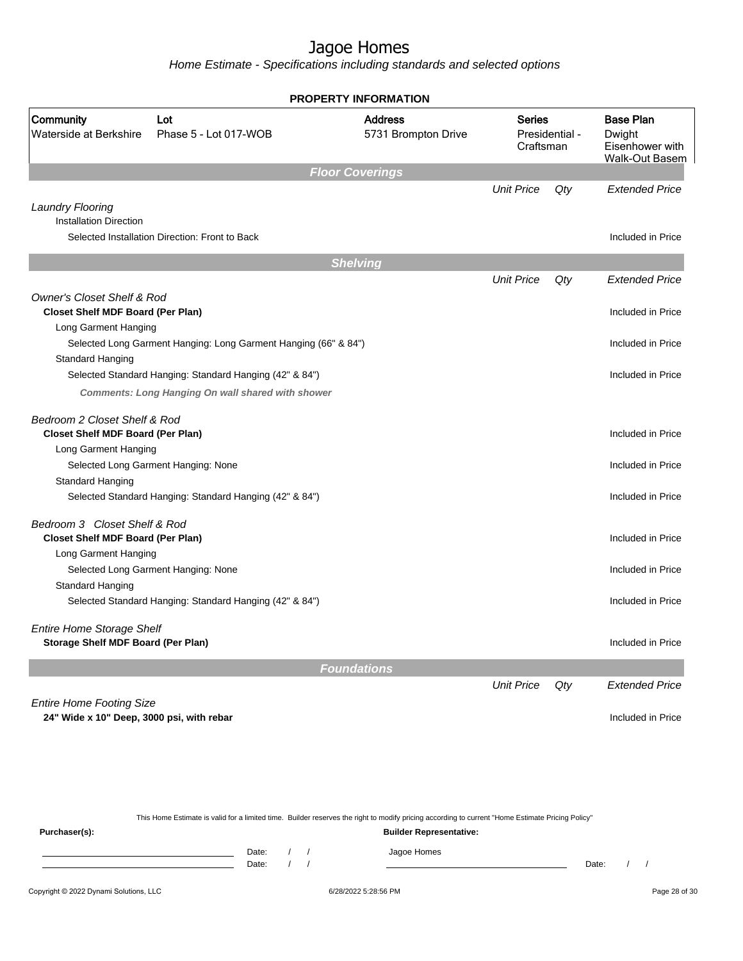Home Estimate - Specifications including standards and selected options

|                                                                                   |                                                                                                                     | <b>PROPERTY INFORMATION</b>           |                            |                |                                                                        |
|-----------------------------------------------------------------------------------|---------------------------------------------------------------------------------------------------------------------|---------------------------------------|----------------------------|----------------|------------------------------------------------------------------------|
| Community<br>Waterside at Berkshire                                               | Lot<br>Phase 5 - Lot 017-WOB                                                                                        | <b>Address</b><br>5731 Brompton Drive | <b>Series</b><br>Craftsman | Presidential - | <b>Base Plan</b><br>Dwight<br>Eisenhower with<br><b>Walk-Out Basem</b> |
|                                                                                   |                                                                                                                     | <b>Floor Coverings</b>                |                            |                |                                                                        |
| <b>Laundry Flooring</b><br><b>Installation Direction</b>                          |                                                                                                                     |                                       | <b>Unit Price</b>          | Qty            | <b>Extended Price</b>                                                  |
|                                                                                   | Selected Installation Direction: Front to Back                                                                      |                                       |                            |                | Included in Price                                                      |
|                                                                                   |                                                                                                                     | <b>Shelving</b>                       |                            |                |                                                                        |
|                                                                                   |                                                                                                                     |                                       | <b>Unit Price</b>          | Qty            | <b>Extended Price</b>                                                  |
| <b>Owner's Closet Shelf &amp; Rod</b><br><b>Closet Shelf MDF Board (Per Plan)</b> |                                                                                                                     |                                       |                            |                | Included in Price                                                      |
| Long Garment Hanging                                                              |                                                                                                                     |                                       |                            |                |                                                                        |
|                                                                                   | Selected Long Garment Hanging: Long Garment Hanging (66" & 84")                                                     |                                       |                            |                | Included in Price                                                      |
| Standard Hanging                                                                  |                                                                                                                     |                                       |                            |                | Included in Price                                                      |
|                                                                                   | Selected Standard Hanging: Standard Hanging (42" & 84")<br><b>Comments: Long Hanging On wall shared with shower</b> |                                       |                            |                |                                                                        |
| Bedroom 2 Closet Shelf & Rod                                                      |                                                                                                                     |                                       |                            |                |                                                                        |
| <b>Closet Shelf MDF Board (Per Plan)</b><br>Long Garment Hanging                  |                                                                                                                     |                                       |                            |                | Included in Price                                                      |
|                                                                                   | Selected Long Garment Hanging: None                                                                                 |                                       |                            |                | Included in Price                                                      |
| Standard Hanging                                                                  |                                                                                                                     |                                       |                            |                |                                                                        |
|                                                                                   | Selected Standard Hanging: Standard Hanging (42" & 84")                                                             |                                       |                            |                | Included in Price                                                      |
| Bedroom 3 Closet Shelf & Rod<br><b>Closet Shelf MDF Board (Per Plan)</b>          |                                                                                                                     |                                       |                            |                | Included in Price                                                      |
| Long Garment Hanging                                                              |                                                                                                                     |                                       |                            |                |                                                                        |
|                                                                                   | Selected Long Garment Hanging: None                                                                                 |                                       |                            |                | Included in Price                                                      |
| Standard Hanging                                                                  |                                                                                                                     |                                       |                            |                |                                                                        |
|                                                                                   | Selected Standard Hanging: Standard Hanging (42" & 84")                                                             |                                       |                            |                | Included in Price                                                      |
| <b>Entire Home Storage Shelf</b><br>Storage Shelf MDF Board (Per Plan)            |                                                                                                                     |                                       |                            |                | Included in Price                                                      |
|                                                                                   |                                                                                                                     |                                       |                            |                |                                                                        |
|                                                                                   |                                                                                                                     |                                       |                            |                |                                                                        |
|                                                                                   |                                                                                                                     | <b>Foundations</b>                    | <b>Unit Price</b>          | Qty            | <b>Extended Price</b>                                                  |

This Home Estimate is valid for a limited time. Builder reserves the right to modify pricing according to current "Home Estimate Pricing Policy"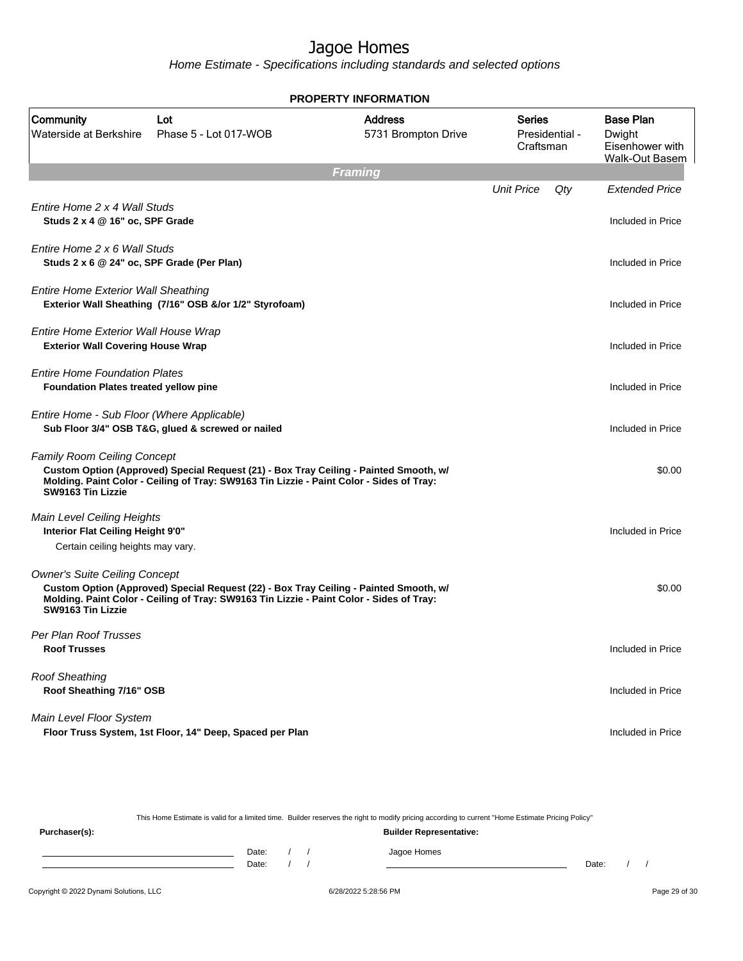Home Estimate - Specifications including standards and selected options

|                                                                                                      |                                                                                                                                                                                   | <b>PROPERTY INFORMATION</b>           |                     |                |                                                                        |  |  |  |  |
|------------------------------------------------------------------------------------------------------|-----------------------------------------------------------------------------------------------------------------------------------------------------------------------------------|---------------------------------------|---------------------|----------------|------------------------------------------------------------------------|--|--|--|--|
| Community<br>Waterside at Berkshire                                                                  | Lot<br>Phase 5 - Lot 017-WOB                                                                                                                                                      | <b>Address</b><br>5731 Brompton Drive | Series<br>Craftsman | Presidential - | <b>Base Plan</b><br>Dwight<br>Eisenhower with<br><b>Walk-Out Basem</b> |  |  |  |  |
| <b>Framing</b>                                                                                       |                                                                                                                                                                                   |                                       |                     |                |                                                                        |  |  |  |  |
| Entire Home 2 x 4 Wall Studs<br>Studs 2 x 4 @ 16" oc, SPF Grade                                      |                                                                                                                                                                                   |                                       | <b>Unit Price</b>   | Qty            | <b>Extended Price</b><br>Included in Price                             |  |  |  |  |
| Entire Home 2 x 6 Wall Studs<br>Studs 2 x 6 @ 24" oc, SPF Grade (Per Plan)                           |                                                                                                                                                                                   |                                       |                     |                | Included in Price                                                      |  |  |  |  |
| <b>Entire Home Exterior Wall Sheathing</b>                                                           | Exterior Wall Sheathing (7/16" OSB &/or 1/2" Styrofoam)                                                                                                                           |                                       |                     |                | Included in Price                                                      |  |  |  |  |
| Entire Home Exterior Wall House Wrap<br><b>Exterior Wall Covering House Wrap</b>                     |                                                                                                                                                                                   |                                       |                     |                | Included in Price                                                      |  |  |  |  |
| <b>Entire Home Foundation Plates</b><br><b>Foundation Plates treated yellow pine</b>                 |                                                                                                                                                                                   |                                       |                     |                | Included in Price                                                      |  |  |  |  |
| Entire Home - Sub Floor (Where Applicable)                                                           | Sub Floor 3/4" OSB T&G, glued & screwed or nailed                                                                                                                                 |                                       |                     |                | Included in Price                                                      |  |  |  |  |
| <b>Family Room Ceiling Concept</b><br>SW9163 Tin Lizzie                                              | Custom Option (Approved) Special Request (21) - Box Tray Ceiling - Painted Smooth, w/<br>Molding. Paint Color - Ceiling of Tray: SW9163 Tin Lizzie - Paint Color - Sides of Tray: |                                       |                     |                | \$0.00                                                                 |  |  |  |  |
| Main Level Ceiling Heights<br>Interior Flat Ceiling Height 9'0"<br>Certain ceiling heights may vary. |                                                                                                                                                                                   |                                       |                     |                | Included in Price                                                      |  |  |  |  |
| <b>Owner's Suite Ceiling Concept</b><br>SW9163 Tin Lizzie                                            | Custom Option (Approved) Special Request (22) - Box Tray Ceiling - Painted Smooth, w/<br>Molding. Paint Color - Ceiling of Tray: SW9163 Tin Lizzie - Paint Color - Sides of Tray: |                                       |                     |                | \$0.00                                                                 |  |  |  |  |
| Per Plan Roof Trusses<br><b>Roof Trusses</b>                                                         |                                                                                                                                                                                   |                                       |                     |                | Included in Price                                                      |  |  |  |  |
| <b>Roof Sheathing</b><br>Roof Sheathing 7/16" OSB                                                    |                                                                                                                                                                                   |                                       |                     |                | Included in Price                                                      |  |  |  |  |
| Main Level Floor System                                                                              | Floor Truss System, 1st Floor, 14" Deep, Spaced per Plan                                                                                                                          |                                       |                     |                | Included in Price                                                      |  |  |  |  |

This Home Estimate is valid for a limited time. Builder reserves the right to modify pricing according to current "Home Estimate Pricing Policy"

**Purchaser(s): Builder Representative:** Date: / / Jagoe Homes<br>Date: / / Jagoe Homes Date: / / **Date: / / 2006** Date: / / / Date: / / / Date: / / / 2006 Date: / / / 2006 Date: / / / 2006 Date: / / / 2006 Date: / / / 2007 Date: / / / 2007 Date: / / / 2007 Date: / / / 2007 Date: / / / 2007 Date: / / / 2007 D